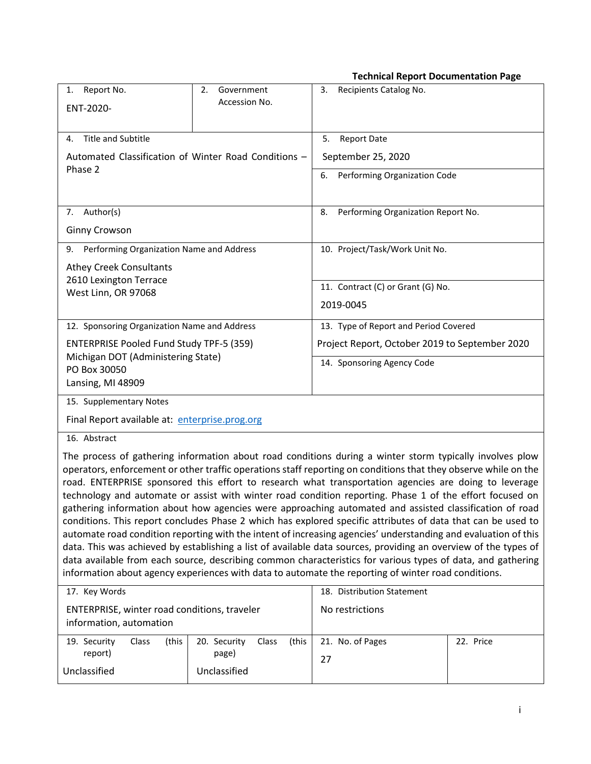**Technical Report Documentation Page**

|                                                                                                                                                                                                                                                                                                                                                                                                                                                                                                                                                                                                                                                                                                                                                                                                                                                                                                                                                                                                                                                                                                                                                                                                                                                                                     |                                | recimical Report Documentation Page            |           |
|-------------------------------------------------------------------------------------------------------------------------------------------------------------------------------------------------------------------------------------------------------------------------------------------------------------------------------------------------------------------------------------------------------------------------------------------------------------------------------------------------------------------------------------------------------------------------------------------------------------------------------------------------------------------------------------------------------------------------------------------------------------------------------------------------------------------------------------------------------------------------------------------------------------------------------------------------------------------------------------------------------------------------------------------------------------------------------------------------------------------------------------------------------------------------------------------------------------------------------------------------------------------------------------|--------------------------------|------------------------------------------------|-----------|
| Report No.<br>1.                                                                                                                                                                                                                                                                                                                                                                                                                                                                                                                                                                                                                                                                                                                                                                                                                                                                                                                                                                                                                                                                                                                                                                                                                                                                    | Government<br>2.               | Recipients Catalog No.<br>3.                   |           |
| ENT-2020-ñ                                                                                                                                                                                                                                                                                                                                                                                                                                                                                                                                                                                                                                                                                                                                                                                                                                                                                                                                                                                                                                                                                                                                                                                                                                                                          | Accession No.                  |                                                |           |
|                                                                                                                                                                                                                                                                                                                                                                                                                                                                                                                                                                                                                                                                                                                                                                                                                                                                                                                                                                                                                                                                                                                                                                                                                                                                                     |                                |                                                |           |
| Title and Subtitle<br>4.                                                                                                                                                                                                                                                                                                                                                                                                                                                                                                                                                                                                                                                                                                                                                                                                                                                                                                                                                                                                                                                                                                                                                                                                                                                            |                                | 5.<br><b>Report Date</b>                       |           |
| Automated Classification of Winter Road Conditions -                                                                                                                                                                                                                                                                                                                                                                                                                                                                                                                                                                                                                                                                                                                                                                                                                                                                                                                                                                                                                                                                                                                                                                                                                                |                                | September 25, 2020                             |           |
| Phase 2                                                                                                                                                                                                                                                                                                                                                                                                                                                                                                                                                                                                                                                                                                                                                                                                                                                                                                                                                                                                                                                                                                                                                                                                                                                                             |                                | Performing Organization Code<br>6.             |           |
|                                                                                                                                                                                                                                                                                                                                                                                                                                                                                                                                                                                                                                                                                                                                                                                                                                                                                                                                                                                                                                                                                                                                                                                                                                                                                     |                                |                                                |           |
| 7. Author(s)                                                                                                                                                                                                                                                                                                                                                                                                                                                                                                                                                                                                                                                                                                                                                                                                                                                                                                                                                                                                                                                                                                                                                                                                                                                                        |                                | Performing Organization Report No.<br>8.       |           |
| <b>Ginny Crowson</b>                                                                                                                                                                                                                                                                                                                                                                                                                                                                                                                                                                                                                                                                                                                                                                                                                                                                                                                                                                                                                                                                                                                                                                                                                                                                |                                |                                                |           |
| Performing Organization Name and Address<br>9.                                                                                                                                                                                                                                                                                                                                                                                                                                                                                                                                                                                                                                                                                                                                                                                                                                                                                                                                                                                                                                                                                                                                                                                                                                      |                                | 10. Project/Task/Work Unit No.                 |           |
| <b>Athey Creek Consultants</b>                                                                                                                                                                                                                                                                                                                                                                                                                                                                                                                                                                                                                                                                                                                                                                                                                                                                                                                                                                                                                                                                                                                                                                                                                                                      |                                |                                                |           |
| 2610 Lexington Terrace                                                                                                                                                                                                                                                                                                                                                                                                                                                                                                                                                                                                                                                                                                                                                                                                                                                                                                                                                                                                                                                                                                                                                                                                                                                              |                                | 11. Contract (C) or Grant (G) No.              |           |
| West Linn, OR 97068                                                                                                                                                                                                                                                                                                                                                                                                                                                                                                                                                                                                                                                                                                                                                                                                                                                                                                                                                                                                                                                                                                                                                                                                                                                                 |                                | 2019-0045                                      |           |
| 12. Sponsoring Organization Name and Address                                                                                                                                                                                                                                                                                                                                                                                                                                                                                                                                                                                                                                                                                                                                                                                                                                                                                                                                                                                                                                                                                                                                                                                                                                        |                                | 13. Type of Report and Period Covered          |           |
|                                                                                                                                                                                                                                                                                                                                                                                                                                                                                                                                                                                                                                                                                                                                                                                                                                                                                                                                                                                                                                                                                                                                                                                                                                                                                     |                                | Project Report, October 2019 to September 2020 |           |
| <b>ENTERPRISE Pooled Fund Study TPF-5 (359)</b><br>Michigan DOT (Administering State)                                                                                                                                                                                                                                                                                                                                                                                                                                                                                                                                                                                                                                                                                                                                                                                                                                                                                                                                                                                                                                                                                                                                                                                               |                                | 14. Sponsoring Agency Code                     |           |
| PO Box 30050                                                                                                                                                                                                                                                                                                                                                                                                                                                                                                                                                                                                                                                                                                                                                                                                                                                                                                                                                                                                                                                                                                                                                                                                                                                                        |                                |                                                |           |
| Lansing, MI 48909                                                                                                                                                                                                                                                                                                                                                                                                                                                                                                                                                                                                                                                                                                                                                                                                                                                                                                                                                                                                                                                                                                                                                                                                                                                                   |                                |                                                |           |
| 15. Supplementary Notes                                                                                                                                                                                                                                                                                                                                                                                                                                                                                                                                                                                                                                                                                                                                                                                                                                                                                                                                                                                                                                                                                                                                                                                                                                                             |                                |                                                |           |
| Final Report available at: enterprise.prog.org                                                                                                                                                                                                                                                                                                                                                                                                                                                                                                                                                                                                                                                                                                                                                                                                                                                                                                                                                                                                                                                                                                                                                                                                                                      |                                |                                                |           |
| 16. Abstract                                                                                                                                                                                                                                                                                                                                                                                                                                                                                                                                                                                                                                                                                                                                                                                                                                                                                                                                                                                                                                                                                                                                                                                                                                                                        |                                |                                                |           |
| The process of gathering information about road conditions during a winter storm typically involves plow<br>operators, enforcement or other traffic operations staff reporting on conditions that they observe while on the<br>road. ENTERPRISE sponsored this effort to research what transportation agencies are doing to leverage<br>technology and automate or assist with winter road condition reporting. Phase 1 of the effort focused on<br>gathering information about how agencies were approaching automated and assisted classification of road<br>conditions. This report concludes Phase 2 which has explored specific attributes of data that can be used to<br>automate road condition reporting with the intent of increasing agencies' understanding and evaluation of this<br>data. This was achieved by establishing a list of available data sources, providing an overview of the types of<br>data available from each source, describing common characteristics for various types of data, and gathering<br>information about agency experiences with data to automate the reporting of winter road conditions.<br>17. Key Words<br>18. Distribution Statement<br>ENTERPRISE, winter road conditions, traveler<br>No restrictions<br>information, automation |                                |                                                |           |
| 19. Security<br>Class<br>(this                                                                                                                                                                                                                                                                                                                                                                                                                                                                                                                                                                                                                                                                                                                                                                                                                                                                                                                                                                                                                                                                                                                                                                                                                                                      | 20. Security<br>Class<br>(this | 21. No. of Pages                               | 22. Price |
| report)                                                                                                                                                                                                                                                                                                                                                                                                                                                                                                                                                                                                                                                                                                                                                                                                                                                                                                                                                                                                                                                                                                                                                                                                                                                                             | page)                          | 27                                             |           |

Unclassified

Unclassified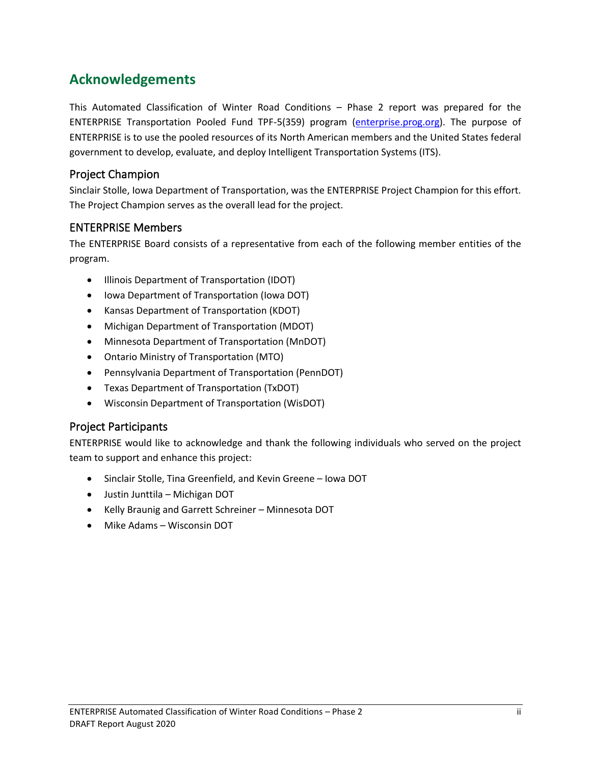## **Acknowledgements**

This Automated Classification of Winter Road Conditions – Phase 2 report was prepared for the ENTERPRISE Transportation Pooled Fund TPF-5(359) program [\(enterprise.prog.org\)](http://enterprise.prog.org/). The purpose of ENTERPRISE is to use the pooled resources of its North American members and the United States federal government to develop, evaluate, and deploy Intelligent Transportation Systems (ITS).

## Project Champion

Sinclair Stolle, Iowa Department of Transportation, was the ENTERPRISE Project Champion for this effort. The Project Champion serves as the overall lead for the project.

## ENTERPRISE Members

The ENTERPRISE Board consists of a representative from each of the following member entities of the program.

- Illinois Department of Transportation (IDOT)
- Iowa Department of Transportation (Iowa DOT)
- Kansas Department of Transportation (KDOT)
- Michigan Department of Transportation (MDOT)
- Minnesota Department of Transportation (MnDOT)
- Ontario Ministry of Transportation (MTO)
- Pennsylvania Department of Transportation (PennDOT)
- Texas Department of Transportation (TxDOT)
- Wisconsin Department of Transportation (WisDOT)

## Project Participants

ENTERPRISE would like to acknowledge and thank the following individuals who served on the project team to support and enhance this project:

- Sinclair Stolle, Tina Greenfield, and Kevin Greene Iowa DOT
- Justin Junttila Michigan DOT
- Kelly Braunig and Garrett Schreiner Minnesota DOT
- Mike Adams Wisconsin DOT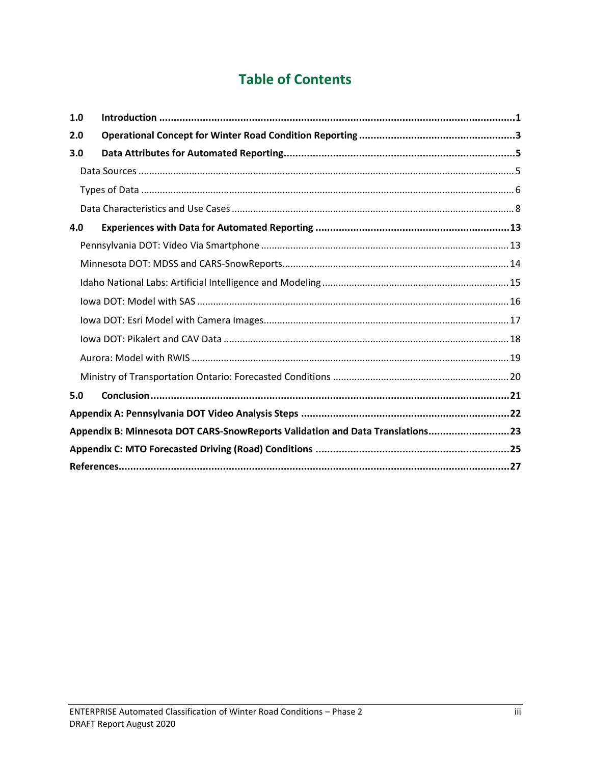# **Table of Contents**

| 1.0 |                                                                               |
|-----|-------------------------------------------------------------------------------|
| 2.0 |                                                                               |
| 3.0 |                                                                               |
|     |                                                                               |
|     |                                                                               |
|     |                                                                               |
| 4.0 |                                                                               |
|     |                                                                               |
|     |                                                                               |
|     |                                                                               |
|     |                                                                               |
|     |                                                                               |
|     |                                                                               |
|     |                                                                               |
|     |                                                                               |
| 5.0 |                                                                               |
|     |                                                                               |
|     | Appendix B: Minnesota DOT CARS-SnowReports Validation and Data Translations23 |
|     |                                                                               |
|     |                                                                               |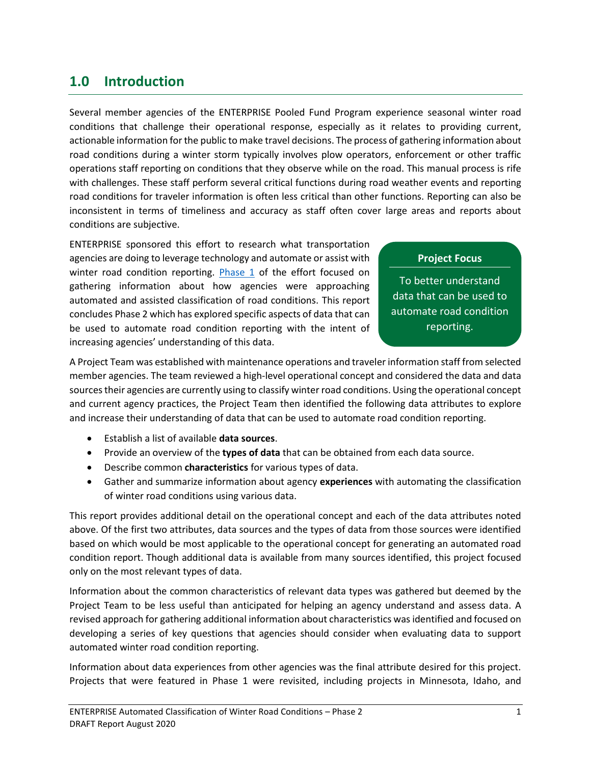## <span id="page-4-0"></span>**1.0 Introduction**

Several member agencies of the ENTERPRISE Pooled Fund Program experience seasonal winter road conditions that challenge their operational response, especially as it relates to providing current, actionable information for the public to make travel decisions. The process of gathering information about road conditions during a winter storm typically involves plow operators, enforcement or other traffic operations staff reporting on conditions that they observe while on the road. This manual process is rife with challenges. These staff perform several critical functions during road weather events and reporting road conditions for traveler information is often less critical than other functions. Reporting can also be inconsistent in terms of timeliness and accuracy as staff often cover large areas and reports about conditions are subjective.

ENTERPRISE sponsored this effort to research what transportation agencies are doing to leverage technology and automate or assist with winter road condition reporting. [Phase 1](http://enterprise.prog.org/Projects/2017/automated_assisted_winter_road_conditions.html) of the effort focused on gathering information about how agencies were approaching automated and assisted classification of road conditions. This report concludes Phase 2 which has explored specific aspects of data that can be used to automate road condition reporting with the intent of increasing agencies' understanding of this data.

## **Project Focus**

To better understand data that can be used to automate road condition reporting.

A Project Team was established with maintenance operations and traveler information staff from selected member agencies. The team reviewed a high-level operational concept and considered the data and data sources their agencies are currently using to classify winter road conditions. Using the operational concept and current agency practices, the Project Team then identified the following data attributes to explore and increase their understanding of data that can be used to automate road condition reporting.

- Establish a list of available **data sources**.
- Provide an overview of the **types of data** that can be obtained from each data source.
- Describe common **characteristics** for various types of data.
- Gather and summarize information about agency **experiences** with automating the classification of winter road conditions using various data.

This report provides additional detail on the operational concept and each of the data attributes noted above. Of the first two attributes, data sources and the types of data from those sources were identified based on which would be most applicable to the operational concept for generating an automated road condition report. Though additional data is available from many sources identified, this project focused only on the most relevant types of data.

Information about the common characteristics of relevant data types was gathered but deemed by the Project Team to be less useful than anticipated for helping an agency understand and assess data. A revised approach for gathering additional information about characteristics was identified and focused on developing a series of key questions that agencies should consider when evaluating data to support automated winter road condition reporting.

Information about data experiences from other agencies was the final attribute desired for this project. Projects that were featured in Phase 1 were revisited, including projects in Minnesota, Idaho, and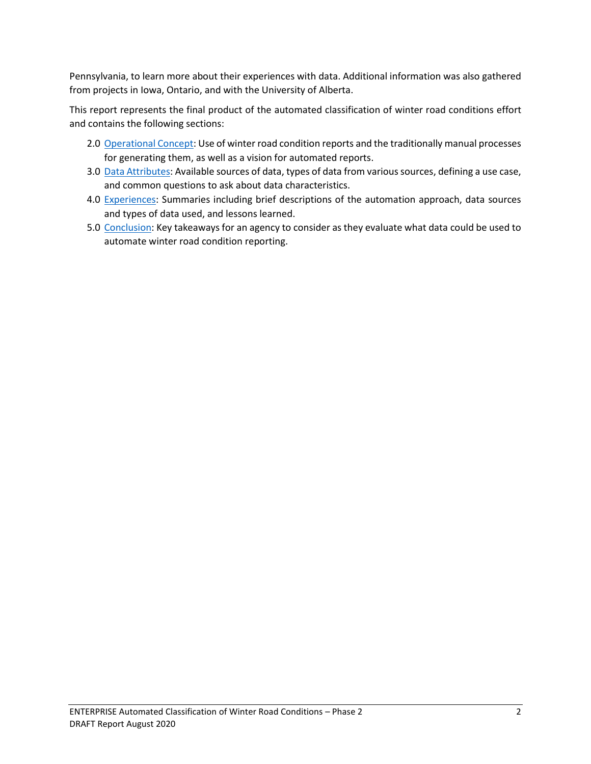Pennsylvania, to learn more about their experiences with data. Additional information was also gathered from projects in Iowa, Ontario, and with the University of Alberta.

This report represents the final product of the automated classification of winter road conditions effort and contains the following sections:

- 2.0 [Operational Concept:](#page-6-0) Use of winter road condition reports and the traditionally manual processes for generating them, as well as a vision for automated reports.
- 3.0 [Data Attributes:](#page-8-0) Available sources of data, types of data from various sources, defining a use case, and common questions to ask about data characteristics.
- 4.0 [Experiences:](#page-16-0) Summaries including brief descriptions of the automation approach, data sources and types of data used, and lessons learned.
- 5.0 [Conclusion:](#page-24-0) Key takeaways for an agency to consider as they evaluate what data could be used to automate winter road condition reporting.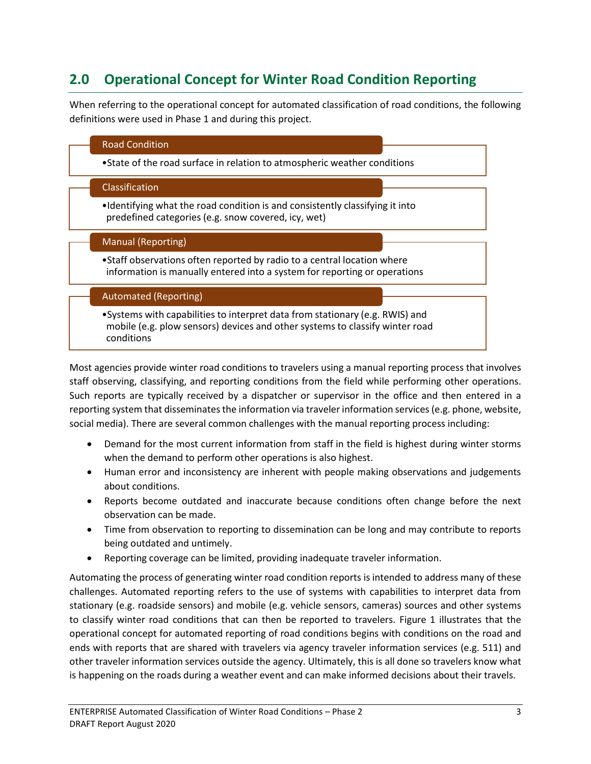# <span id="page-6-0"></span>**2.0 Operational Concept for Winter Road Condition Reporting**

When referring to the operational concept for automated classification of road conditions, the following definitions were used in Phase 1 and during this project.



Most agencies provide winter road conditions to travelers using a manual reporting process that involves staff observing, classifying, and reporting conditions from the field while performing other operations. Such reports are typically received by a dispatcher or supervisor in the office and then entered in a reporting system that disseminates the information via traveler information services (e.g. phone, website, social media). There are several common challenges with the manual reporting process including:

- Demand for the most current information from staff in the field is highest during winter storms when the demand to perform other operations is also highest.
- Human error and inconsistency are inherent with people making observations and judgements about conditions.
- Reports become outdated and inaccurate because conditions often change before the next observation can be made.
- Time from observation to reporting to dissemination can be long and may contribute to reports being outdated and untimely.
- Reporting coverage can be limited, providing inadequate traveler information.

Automating the process of generating winter road condition reports is intended to address many of these challenges. Automated reporting refers to the use of systems with capabilities to interpret data from stationary (e.g. roadside sensors) and mobile (e.g. vehicle sensors, cameras) sources and other systems to classify winter road conditions that can then be reported to travelers. Figure 1 illustrates that the operational concept for automated reporting of road conditions begins with conditions on the road and ends with reports that are shared with travelers via agency traveler information services (e.g. 511) and other traveler information services outside the agency. Ultimately, this is all done so travelers know what is happening on the roads during a weather event and can make informed decisions about their travels.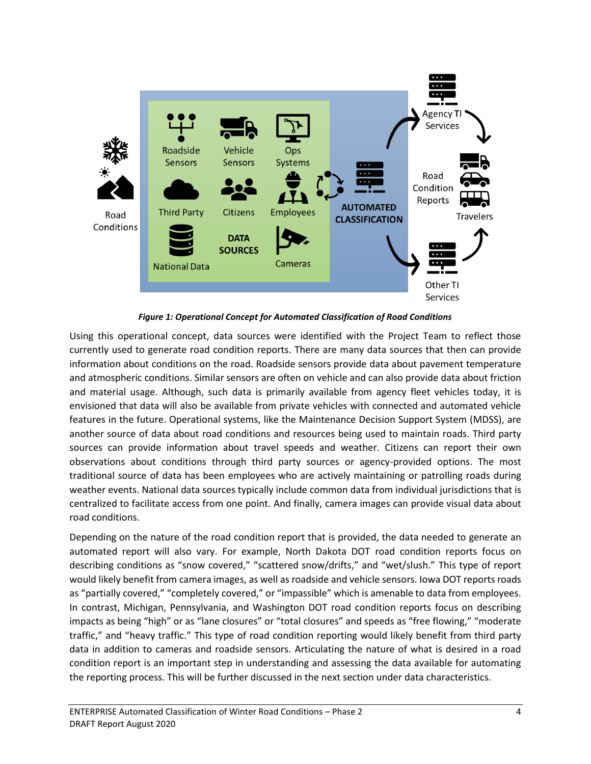

*Figure 1: Operational Concept for Automated Classification of Road Conditions*

Using this operational concept, data sources were identified with the Project Team to reflect those currently used to generate road condition reports. There are many data sources that then can provide information about conditions on the road. Roadside sensors provide data about pavement temperature and atmospheric conditions. Similar sensors are often on vehicle and can also provide data about friction and material usage. Although, such data is primarily available from agency fleet vehicles today, it is envisioned that data will also be available from private vehicles with connected and automated vehicle features in the future. Operational systems, like the Maintenance Decision Support System (MDSS), are another source of data about road conditions and resources being used to maintain roads. Third party sources can provide information about travel speeds and weather. Citizens can report their own observations about conditions through third party sources or agency-provided options. The most traditional source of data has been employees who are actively maintaining or patrolling roads during weather events. National data sources typically include common data from individual jurisdictions that is centralized to facilitate access from one point. And finally, camera images can provide visual data about road conditions.

Depending on the nature of the road condition report that is provided, the data needed to generate an automated report will also vary. For example, North Dakota DOT road condition reports focus on describing conditions as "snow covered," "scattered snow/drifts," and "wet/slush." This type of report would likely benefit from camera images, as well as roadside and vehicle sensors. Iowa DOT reports roads as "partially covered," "completely covered," or "impassible" which is amenable to data from employees. In contrast, Michigan, Pennsylvania, and Washington DOT road condition reports focus on describing impacts as being "high" or as "lane closures" or "total closures" and speeds as "free flowing," "moderate traffic," and "heavy traffic." This type of road condition reporting would likely benefit from third party data in addition to cameras and roadside sensors. Articulating the nature of what is desired in a road condition report is an important step in understanding and assessing the data available for automating the reporting process. This will be further discussed in the next section under data characteristics.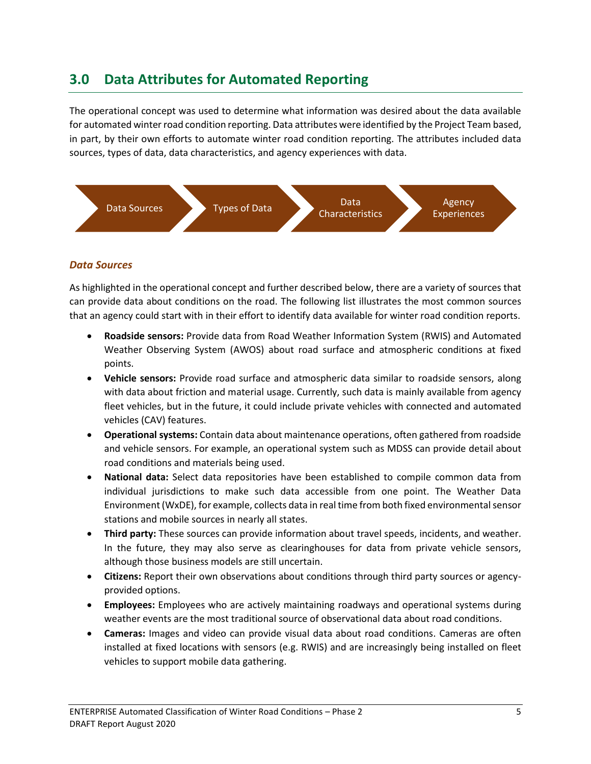## <span id="page-8-0"></span>**3.0 Data Attributes for Automated Reporting**

The operational concept was used to determine what information was desired about the data available for automated winter road condition reporting. Data attributes were identified by the Project Team based, in part, by their own efforts to automate winter road condition reporting. The attributes included data sources, types of data, data characteristics, and agency experiences with data.



### <span id="page-8-1"></span>*Data Sources*

As highlighted in the operational concept and further described below, there are a variety of sources that can provide data about conditions on the road. The following list illustrates the most common sources that an agency could start with in their effort to identify data available for winter road condition reports.

- **Roadside sensors:** Provide data from Road Weather Information System (RWIS) and Automated Weather Observing System (AWOS) about road surface and atmospheric conditions at fixed points.
- **Vehicle sensors:** Provide road surface and atmospheric data similar to roadside sensors, along with data about friction and material usage. Currently, such data is mainly available from agency fleet vehicles, but in the future, it could include private vehicles with connected and automated vehicles (CAV) features.
- **Operational systems:** Contain data about maintenance operations, often gathered from roadside and vehicle sensors. For example, an operational system such as MDSS can provide detail about road conditions and materials being used.
- **National data:** Select data repositories have been established to compile common data from individual jurisdictions to make such data accessible from one point. The Weather Data Environment (WxDE), for example, collects data in real time from both fixed environmental sensor stations and mobile sources in nearly all states.
- **Third party:** These sources can provide information about travel speeds, incidents, and weather. In the future, they may also serve as clearinghouses for data from private vehicle sensors, although those business models are still uncertain.
- **Citizens:** Report their own observations about conditions through third party sources or agencyprovided options.
- **Employees:** Employees who are actively maintaining roadways and operational systems during weather events are the most traditional source of observational data about road conditions.
- **Cameras:** Images and video can provide visual data about road conditions. Cameras are often installed at fixed locations with sensors (e.g. RWIS) and are increasingly being installed on fleet vehicles to support mobile data gathering.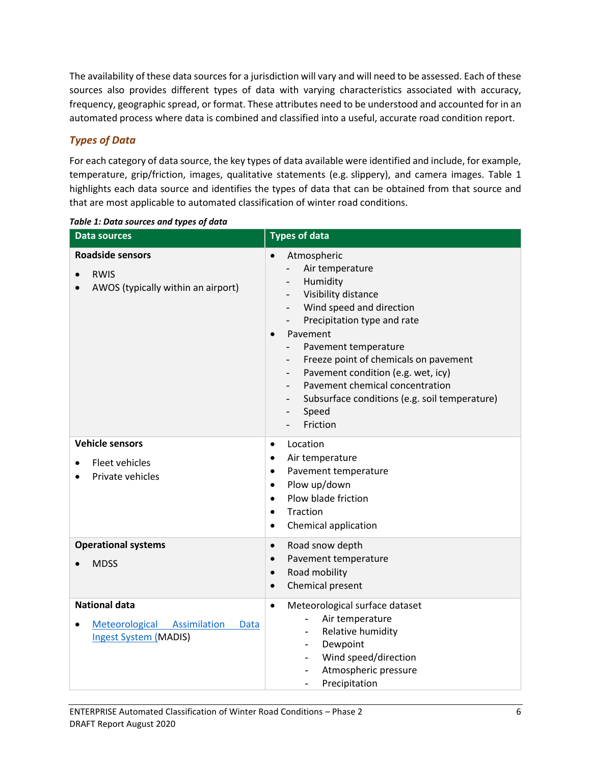The availability of these data sources for a jurisdiction will vary and will need to be assessed. Each of these sources also provides different types of data with varying characteristics associated with accuracy, frequency, geographic spread, or format. These attributes need to be understood and accounted for in an automated process where data is combined and classified into a useful, accurate road condition report.

## <span id="page-9-0"></span>*Types of Data*

For each category of data source, the key types of data available were identified and include, for example, temperature, grip/friction, images, qualitative statements (e.g. slippery), and camera images. Table 1 highlights each data source and identifies the types of data that can be obtained from that source and that are most applicable to automated classification of winter road conditions.

| <b>Data sources</b>                                                                         | <b>Types of data</b>                                                                                                                                                                                                                                                                                                                                                                                                                                                                                                               |
|---------------------------------------------------------------------------------------------|------------------------------------------------------------------------------------------------------------------------------------------------------------------------------------------------------------------------------------------------------------------------------------------------------------------------------------------------------------------------------------------------------------------------------------------------------------------------------------------------------------------------------------|
| <b>Roadside sensors</b><br><b>RWIS</b><br>AWOS (typically within an airport)                | Atmospheric<br>$\bullet$<br>Air temperature<br>$\frac{1}{2}$<br>Humidity<br>Visibility distance<br>Wind speed and direction<br>$\overline{\phantom{a}}$<br>Precipitation type and rate<br>$\overline{\phantom{a}}$<br>Pavement<br>Pavement temperature<br>Freeze point of chemicals on pavement<br>$\overline{\phantom{a}}$<br>Pavement condition (e.g. wet, icy)<br>$\overline{\phantom{a}}$<br>Pavement chemical concentration<br>$\overline{\phantom{a}}$<br>Subsurface conditions (e.g. soil temperature)<br>Speed<br>Friction |
| <b>Vehicle sensors</b><br><b>Fleet vehicles</b><br>Private vehicles                         | Location<br>$\bullet$<br>Air temperature<br>$\bullet$<br>Pavement temperature<br>$\bullet$<br>Plow up/down<br>$\bullet$<br>Plow blade friction<br>$\bullet$<br>Traction<br>$\bullet$<br>Chemical application<br>$\bullet$                                                                                                                                                                                                                                                                                                          |
| <b>Operational systems</b><br><b>MDSS</b>                                                   | Road snow depth<br>$\bullet$<br>Pavement temperature<br>$\bullet$<br>Road mobility<br>$\bullet$<br>Chemical present<br>$\bullet$                                                                                                                                                                                                                                                                                                                                                                                                   |
| <b>National data</b><br>Meteorological Assimilation<br>Data<br><b>Ingest System (MADIS)</b> | Meteorological surface dataset<br>$\bullet$<br>Air temperature<br>Relative humidity<br>$\overline{\phantom{0}}$<br>Dewpoint<br>$\overline{\phantom{0}}$<br>Wind speed/direction<br>$\overline{\phantom{0}}$<br>Atmospheric pressure<br>$\overline{\phantom{0}}$<br>Precipitation<br>$\overline{\phantom{0}}$                                                                                                                                                                                                                       |

*Table 1: Data sources and types of data*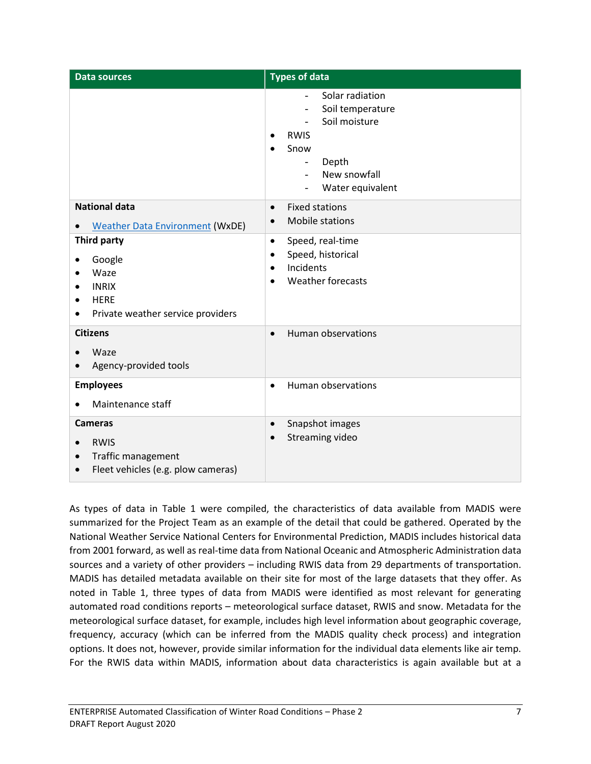| <b>Data sources</b>                                                                                                                      | <b>Types of data</b>                                                                                                                                                                                                                             |
|------------------------------------------------------------------------------------------------------------------------------------------|--------------------------------------------------------------------------------------------------------------------------------------------------------------------------------------------------------------------------------------------------|
|                                                                                                                                          | Solar radiation<br>Soil temperature<br>$\overline{\phantom{0}}$<br>Soil moisture<br>$\overline{a}$<br><b>RWIS</b><br>Snow<br>Depth<br>$\overline{\phantom{0}}$<br>New snowfall<br>$\overline{a}$<br>Water equivalent<br>$\overline{\phantom{a}}$ |
| <b>National data</b><br><b>Weather Data Environment (WxDE)</b><br>$\bullet$                                                              | <b>Fixed stations</b><br>$\bullet$<br>Mobile stations<br>$\bullet$                                                                                                                                                                               |
| Third party<br>Google<br>$\bullet$<br>Waze<br><b>INRIX</b><br><b>HERE</b><br>$\bullet$<br>Private weather service providers<br>$\bullet$ | Speed, real-time<br>$\bullet$<br>Speed, historical<br>$\bullet$<br>Incidents<br>$\bullet$<br><b>Weather forecasts</b><br>$\bullet$                                                                                                               |
| <b>Citizens</b><br>Waze<br>Agency-provided tools                                                                                         | <b>Human observations</b><br>$\bullet$                                                                                                                                                                                                           |
| <b>Employees</b><br>Maintenance staff<br>$\bullet$                                                                                       | Human observations<br>$\bullet$                                                                                                                                                                                                                  |
| <b>Cameras</b><br><b>RWIS</b><br>$\bullet$<br>Traffic management<br>$\bullet$<br>Fleet vehicles (e.g. plow cameras)<br>$\bullet$         | Snapshot images<br>$\bullet$<br>Streaming video<br>$\bullet$                                                                                                                                                                                     |

As types of data in Table 1 were compiled, the characteristics of data available from MADIS were summarized for the Project Team as an example of the detail that could be gathered. Operated by the National Weather Service National Centers for Environmental Prediction, MADIS includes historical data from 2001 forward, as well as real-time data from National Oceanic and Atmospheric Administration data sources and a variety of other providers – including RWIS data from 29 departments of transportation. MADIS has detailed metadata available on their site for most of the large datasets that they offer. As noted in Table 1, three types of data from MADIS were identified as most relevant for generating automated road conditions reports – meteorological surface dataset, RWIS and snow. Metadata for the meteorological surface dataset, for example, includes high level information about geographic coverage, frequency, accuracy (which can be inferred from the MADIS quality check process) and integration options. It does not, however, provide similar information for the individual data elements like air temp. For the RWIS data within MADIS, information about data characteristics is again available but at a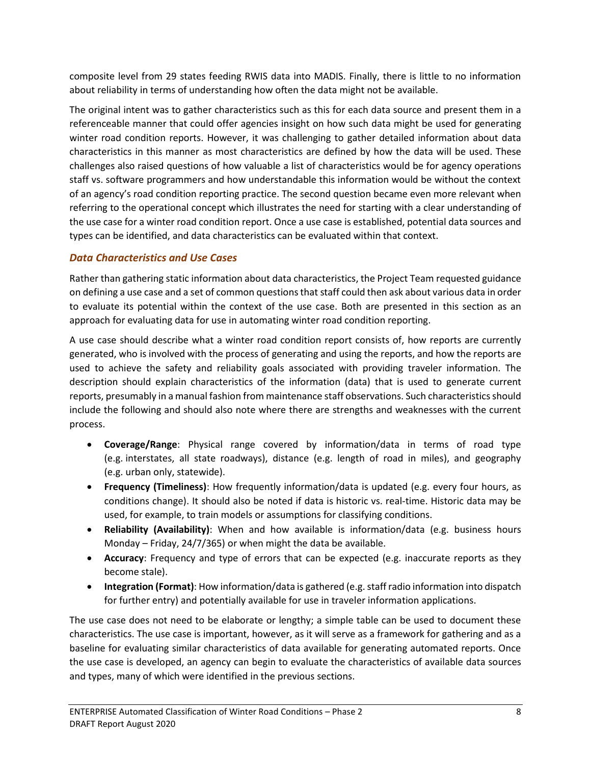composite level from 29 states feeding RWIS data into MADIS. Finally, there is little to no information about reliability in terms of understanding how often the data might not be available.

The original intent was to gather characteristics such as this for each data source and present them in a referenceable manner that could offer agencies insight on how such data might be used for generating winter road condition reports. However, it was challenging to gather detailed information about data characteristics in this manner as most characteristics are defined by how the data will be used. These challenges also raised questions of how valuable a list of characteristics would be for agency operations staff vs. software programmers and how understandable this information would be without the context of an agency's road condition reporting practice. The second question became even more relevant when referring to the operational concept which illustrates the need for starting with a clear understanding of the use case for a winter road condition report. Once a use case is established, potential data sources and types can be identified, and data characteristics can be evaluated within that context.

## <span id="page-11-0"></span>*Data Characteristics and Use Cases*

Rather than gathering static information about data characteristics, the Project Team requested guidance on defining a use case and a set of common questions that staff could then ask about various data in order to evaluate its potential within the context of the use case. Both are presented in this section as an approach for evaluating data for use in automating winter road condition reporting.

A use case should describe what a winter road condition report consists of, how reports are currently generated, who is involved with the process of generating and using the reports, and how the reports are used to achieve the safety and reliability goals associated with providing traveler information. The description should explain characteristics of the information (data) that is used to generate current reports, presumably in a manual fashion from maintenance staff observations. Such characteristics should include the following and should also note where there are strengths and weaknesses with the current process.

- **Coverage/Range**: Physical range covered by information/data in terms of road type (e.g. interstates, all state roadways), distance (e.g. length of road in miles), and geography (e.g. urban only, statewide).
- **Frequency (Timeliness)**: How frequently information/data is updated (e.g. every four hours, as conditions change). It should also be noted if data is historic vs. real-time. Historic data may be used, for example, to train models or assumptions for classifying conditions.
- **Reliability (Availability)**: When and how available is information/data (e.g. business hours Monday – Friday, 24/7/365) or when might the data be available.
- **Accuracy**: Frequency and type of errors that can be expected (e.g. inaccurate reports as they become stale).
- **Integration (Format)**: How information/data is gathered (e.g. staff radio information into dispatch for further entry) and potentially available for use in traveler information applications.

The use case does not need to be elaborate or lengthy; a simple table can be used to document these characteristics. The use case is important, however, as it will serve as a framework for gathering and as a baseline for evaluating similar characteristics of data available for generating automated reports. Once the use case is developed, an agency can begin to evaluate the characteristics of available data sources and types, many of which were identified in the previous sections.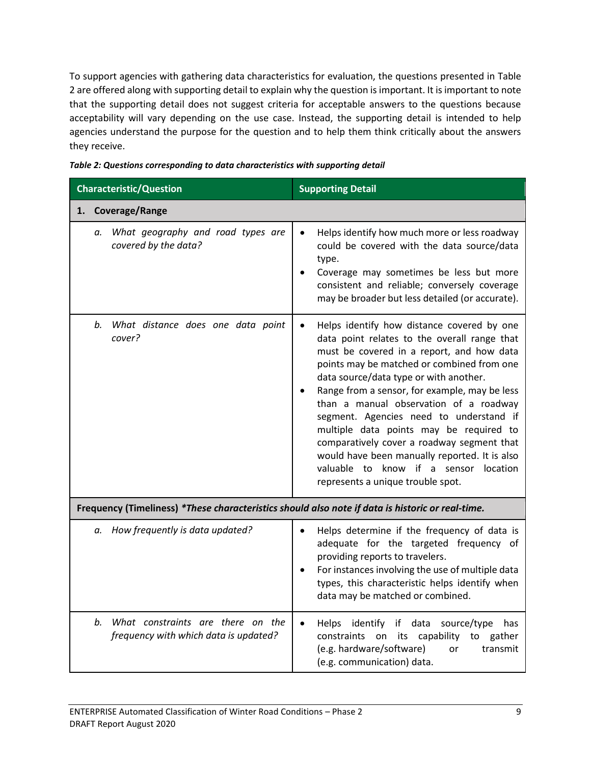To support agencies with gathering data characteristics for evaluation, the questions presented in Table 2 are offered along with supporting detail to explain why the question is important. It is important to note that the supporting detail does not suggest criteria for acceptable answers to the questions because acceptability will vary depending on the use case. Instead, the supporting detail is intended to help agencies understand the purpose for the question and to help them think critically about the answers they receive.

| <b>Characteristic/Question</b>                                                                   | <b>Supporting Detail</b>                                                                                                                                                                                                                                                                                                                                                                                                                                                                                                                                                                      |
|--------------------------------------------------------------------------------------------------|-----------------------------------------------------------------------------------------------------------------------------------------------------------------------------------------------------------------------------------------------------------------------------------------------------------------------------------------------------------------------------------------------------------------------------------------------------------------------------------------------------------------------------------------------------------------------------------------------|
| 1. Coverage/Range                                                                                |                                                                                                                                                                                                                                                                                                                                                                                                                                                                                                                                                                                               |
| What geography and road types are<br>а.<br>covered by the data?                                  | Helps identify how much more or less roadway<br>could be covered with the data source/data<br>type.<br>Coverage may sometimes be less but more<br>consistent and reliable; conversely coverage<br>may be broader but less detailed (or accurate).                                                                                                                                                                                                                                                                                                                                             |
| What distance does one data point<br>b.<br>cover?                                                | Helps identify how distance covered by one<br>data point relates to the overall range that<br>must be covered in a report, and how data<br>points may be matched or combined from one<br>data source/data type or with another.<br>Range from a sensor, for example, may be less<br>than a manual observation of a roadway<br>segment. Agencies need to understand if<br>multiple data points may be required to<br>comparatively cover a roadway segment that<br>would have been manually reported. It is also<br>valuable to know if a sensor location<br>represents a unique trouble spot. |
| Frequency (Timeliness) *These characteristics should also note if data is historic or real-time. |                                                                                                                                                                                                                                                                                                                                                                                                                                                                                                                                                                                               |
| How frequently is data updated?<br>а.                                                            | Helps determine if the frequency of data is<br>adequate for the targeted frequency of<br>providing reports to travelers.<br>For instances involving the use of multiple data<br>types, this characteristic helps identify when<br>data may be matched or combined.                                                                                                                                                                                                                                                                                                                            |

*b. What constraints are there on the frequency with which data is updated?* • Helps identify if data source/type has constraints on its capability to gather (e.g. hardware/software) or transmit (e.g. communication) data.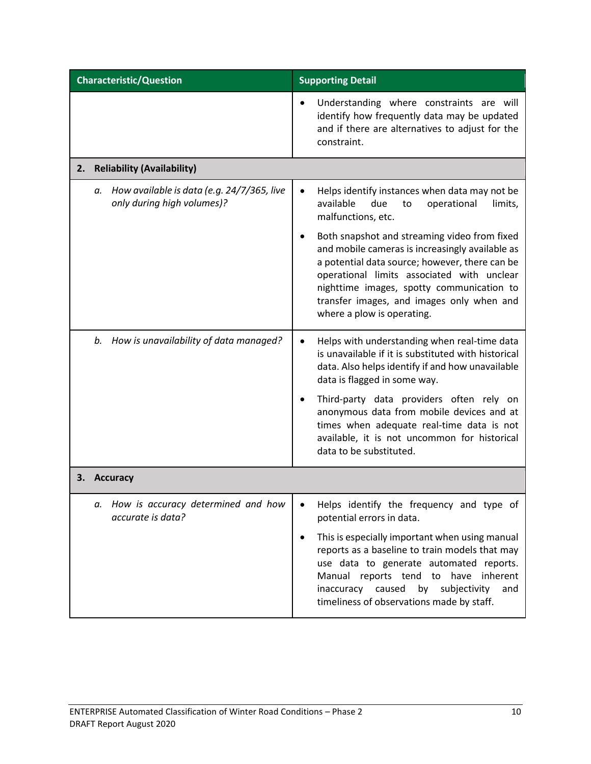| <b>Characteristic/Question</b> |                                                                                | <b>Supporting Detail</b>                                                                                                                                                                                                                                                                                                                              |
|--------------------------------|--------------------------------------------------------------------------------|-------------------------------------------------------------------------------------------------------------------------------------------------------------------------------------------------------------------------------------------------------------------------------------------------------------------------------------------------------|
|                                |                                                                                | Understanding where constraints are will<br>identify how frequently data may be updated<br>and if there are alternatives to adjust for the<br>constraint.                                                                                                                                                                                             |
| 2.                             | <b>Reliability (Availability)</b>                                              |                                                                                                                                                                                                                                                                                                                                                       |
|                                | How available is data (e.g. 24/7/365, live<br>а.<br>only during high volumes)? | Helps identify instances when data may not be<br>available<br>due<br>to<br>operational<br>limits,<br>malfunctions, etc.                                                                                                                                                                                                                               |
|                                |                                                                                | Both snapshot and streaming video from fixed<br>and mobile cameras is increasingly available as<br>a potential data source; however, there can be<br>operational limits associated with unclear<br>nighttime images, spotty communication to<br>transfer images, and images only when and<br>where a plow is operating.                               |
|                                | How is unavailability of data managed?<br>b.                                   | Helps with understanding when real-time data<br>is unavailable if it is substituted with historical<br>data. Also helps identify if and how unavailable<br>data is flagged in some way.                                                                                                                                                               |
|                                |                                                                                | Third-party data providers often rely on<br>anonymous data from mobile devices and at<br>times when adequate real-time data is not<br>available, it is not uncommon for historical<br>data to be substituted.                                                                                                                                         |
|                                | <b>Accuracy</b>                                                                |                                                                                                                                                                                                                                                                                                                                                       |
|                                | How is accuracy determined and how<br>а.<br>accurate is data?                  | Helps identify the frequency and type of<br>potential errors in data.<br>This is especially important when using manual<br>reports as a baseline to train models that may<br>use data to generate automated reports.<br>Manual reports tend to have inherent<br>inaccuracy caused by subjectivity<br>and<br>timeliness of observations made by staff. |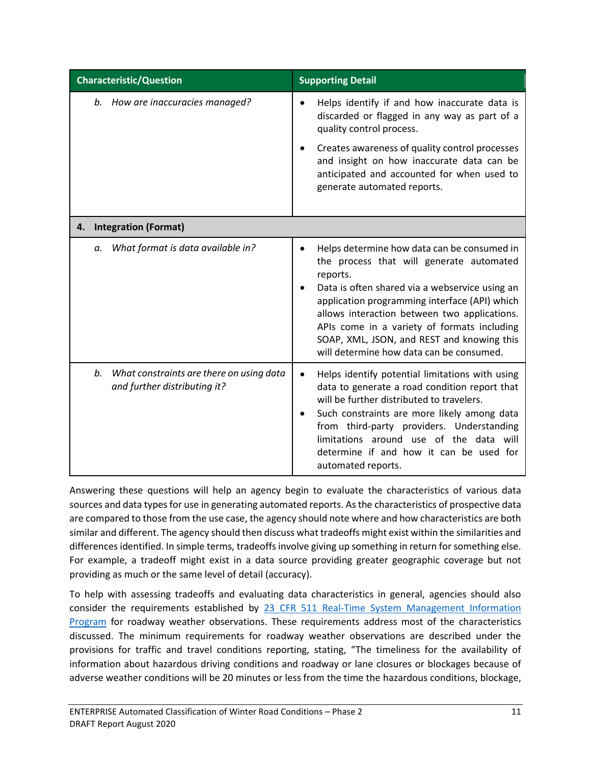| <b>Characteristic/Question</b>                                                 | <b>Supporting Detail</b>                                                                                                                                                                                                                                                                                                                                                                        |
|--------------------------------------------------------------------------------|-------------------------------------------------------------------------------------------------------------------------------------------------------------------------------------------------------------------------------------------------------------------------------------------------------------------------------------------------------------------------------------------------|
| b. How are inaccuracies managed?                                               | Helps identify if and how inaccurate data is<br>discarded or flagged in any way as part of a<br>quality control process.<br>Creates awareness of quality control processes<br>and insight on how inaccurate data can be<br>anticipated and accounted for when used to<br>generate automated reports.                                                                                            |
| <b>Integration (Format)</b><br>4.                                              |                                                                                                                                                                                                                                                                                                                                                                                                 |
| What format is data available in?<br>а.                                        | Helps determine how data can be consumed in<br>the process that will generate automated<br>reports.<br>Data is often shared via a webservice using an<br>application programming interface (API) which<br>allows interaction between two applications.<br>APIs come in a variety of formats including<br>SOAP, XML, JSON, and REST and knowing this<br>will determine how data can be consumed. |
| What constraints are there on using data<br>b.<br>and further distributing it? | Helps identify potential limitations with using<br>٠<br>data to generate a road condition report that<br>will be further distributed to travelers.<br>Such constraints are more likely among data<br>from third-party providers. Understanding<br>limitations around use of the data will<br>determine if and how it can be used for<br>automated reports.                                      |

Answering these questions will help an agency begin to evaluate the characteristics of various data sources and data types for use in generating automated reports. As the characteristics of prospective data are compared to those from the use case, the agency should note where and how characteristics are both similar and different. The agency should then discuss what tradeoffs might exist within the similarities and differences identified. In simple terms, tradeoffs involve giving up something in return for something else. For example, a tradeoff might exist in a data source providing greater geographic coverage but not providing as much or the same level of detail (accuracy).

To help with assessing tradeoffs and evaluating data characteristics in general, agencies should also consider the requirements established by 23 CFR [511 Real-Time System Management Information](https://www.govinfo.gov/content/pkg/CFR-2011-title23-vol1/xml/CFR-2011-title23-vol1-part511.xml)  [Program](https://www.govinfo.gov/content/pkg/CFR-2011-title23-vol1/xml/CFR-2011-title23-vol1-part511.xml) for roadway weather observations. These requirements address most of the characteristics discussed. The minimum requirements for roadway weather observations are described under the provisions for traffic and travel conditions reporting, stating, "The timeliness for the availability of information about hazardous driving conditions and roadway or lane closures or blockages because of adverse weather conditions will be 20 minutes or less from the time the hazardous conditions, blockage,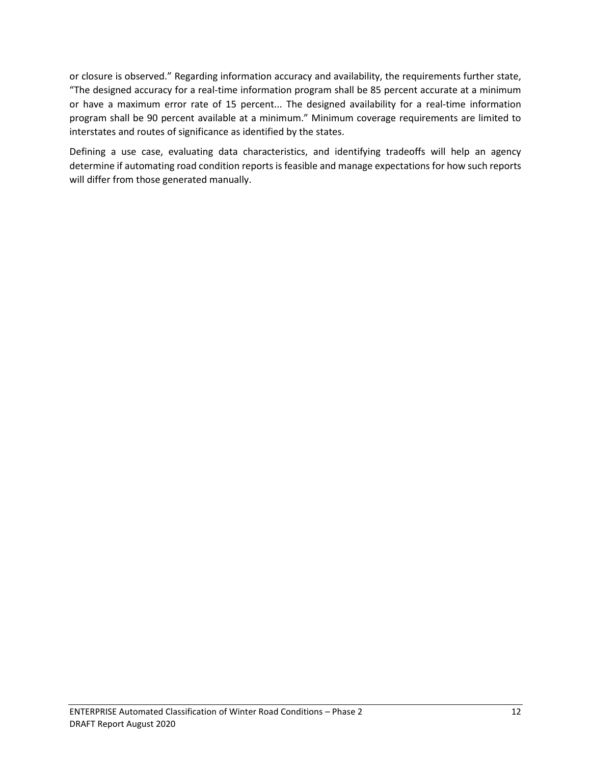or closure is observed." Regarding information accuracy and availability, the requirements further state, "The designed accuracy for a real-time information program shall be 85 percent accurate at a minimum or have a maximum error rate of 15 percent... The designed availability for a real-time information program shall be 90 percent available at a minimum." Minimum coverage requirements are limited to interstates and routes of significance as identified by the states.

Defining a use case, evaluating data characteristics, and identifying tradeoffs will help an agency determine if automating road condition reports is feasible and manage expectations for how such reports will differ from those generated manually.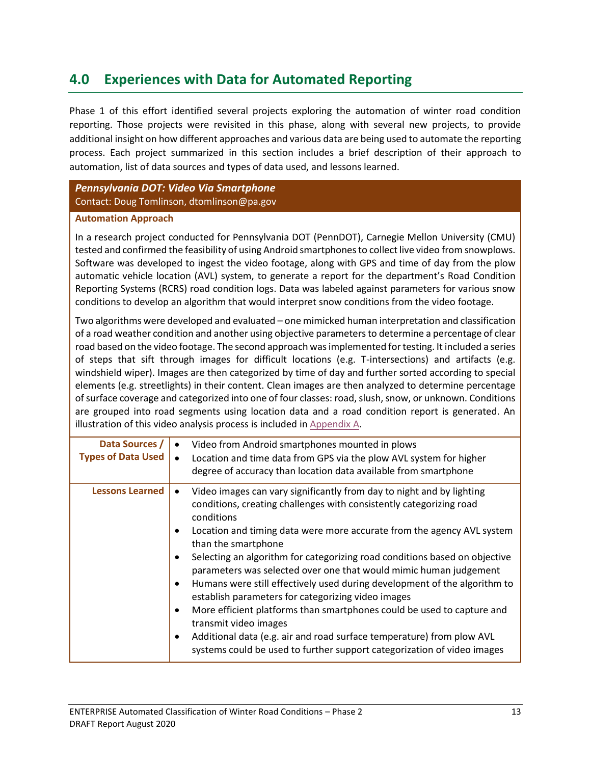## <span id="page-16-0"></span>**4.0 Experiences with Data for Automated Reporting**

Phase 1 of this effort identified several projects exploring the automation of winter road condition reporting. Those projects were revisited in this phase, along with several new projects, to provide additional insight on how different approaches and various data are being used to automate the reporting process. Each project summarized in this section includes a brief description of their approach to automation, list of data sources and types of data used, and lessons learned.

<span id="page-16-1"></span>*Pennsylvania DOT: Video Via Smartphone* Contact: Doug Tomlinson, dtomlinson@pa.gov

#### **Automation Approach**

In a research project conducted for Pennsylvania DOT (PennDOT), Carnegie Mellon University (CMU) tested and confirmed the feasibility of using Android smartphones to collect live video from snowplows. Software was developed to ingest the video footage, along with GPS and time of day from the plow automatic vehicle location (AVL) system, to generate a report for the department's Road Condition Reporting Systems (RCRS) road condition logs. Data was labeled against parameters for various snow conditions to develop an algorithm that would interpret snow conditions from the video footage.

Two algorithms were developed and evaluated – one mimicked human interpretation and classification of a road weather condition and another using objective parameters to determine a percentage of clear road based on the video footage. The second approach was implemented for testing. It included a series of steps that sift through images for difficult locations (e.g. T-intersections) and artifacts (e.g. windshield wiper). Images are then categorized by time of day and further sorted according to special elements (e.g. streetlights) in their content. Clean images are then analyzed to determine percentage of surface coverage and categorized into one of four classes: road, slush, snow, or unknown. Conditions are grouped into road segments using location data and a road condition report is generated. An illustration of this video analysis process is included in [Appendix A.](#page-24-1)

| Data Sources /<br><b>Types of Data Used</b> | Video from Android smartphones mounted in plows<br>Location and time data from GPS via the plow AVL system for higher<br>degree of accuracy than location data available from smartphone                                                                                                                                                                                                                                                                                                                                                                                                                                                                                                                                                                                                                 |
|---------------------------------------------|----------------------------------------------------------------------------------------------------------------------------------------------------------------------------------------------------------------------------------------------------------------------------------------------------------------------------------------------------------------------------------------------------------------------------------------------------------------------------------------------------------------------------------------------------------------------------------------------------------------------------------------------------------------------------------------------------------------------------------------------------------------------------------------------------------|
| <b>Lessons Learned</b>                      | Video images can vary significantly from day to night and by lighting<br>conditions, creating challenges with consistently categorizing road<br>conditions<br>Location and timing data were more accurate from the agency AVL system<br>than the smartphone<br>Selecting an algorithm for categorizing road conditions based on objective<br>parameters was selected over one that would mimic human judgement<br>Humans were still effectively used during development of the algorithm to<br>establish parameters for categorizing video images<br>More efficient platforms than smartphones could be used to capture and<br>transmit video images<br>Additional data (e.g. air and road surface temperature) from plow AVL<br>systems could be used to further support categorization of video images |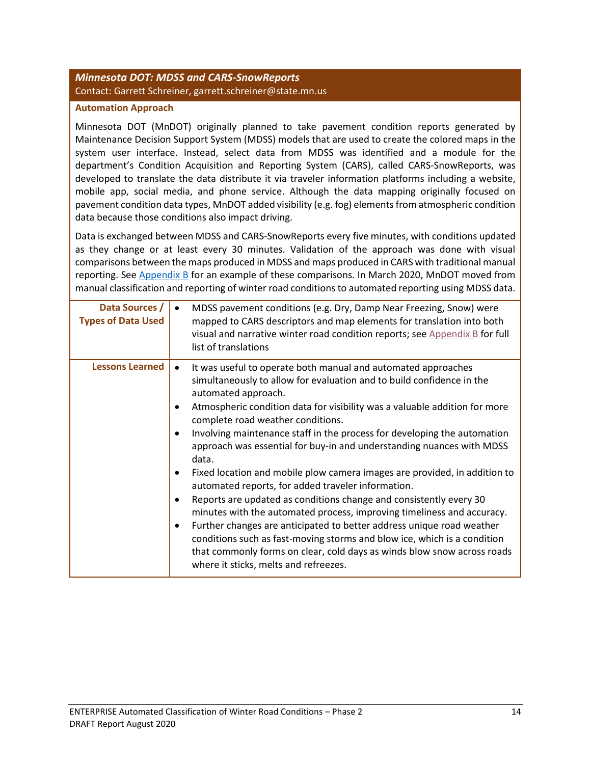### <span id="page-17-0"></span>*Minnesota DOT: MDSS and CARS-SnowReports* Contact: Garrett Schreiner, garrett.schreiner@state.mn.us

#### **Automation Approach**

Minnesota DOT (MnDOT) originally planned to take pavement condition reports generated by Maintenance Decision Support System (MDSS) models that are used to create the colored maps in the system user interface. Instead, select data from MDSS was identified and a module for the department's Condition Acquisition and Reporting System (CARS), called CARS-SnowReports, was developed to translate the data distribute it via traveler information platforms including a website, mobile app, social media, and phone service. Although the data mapping originally focused on pavement condition data types, MnDOT added visibility (e.g. fog) elements from atmospheric condition data because those conditions also impact driving.

Data is exchanged between MDSS and CARS-SnowReports every five minutes, with conditions updated as they change or at least every 30 minutes. Validation of the approach was done with visual comparisons between the maps produced in MDSS and maps produced in CARS with traditional manual reporting. See [Appendix B](#page-26-0) for an example of these comparisons. In March 2020, MnDOT moved from manual classification and reporting of winter road conditions to automated reporting using MDSS data.

| Data Sources /<br><b>Types of Data Used</b> | MDSS pavement conditions (e.g. Dry, Damp Near Freezing, Snow) were<br>mapped to CARS descriptors and map elements for translation into both<br>visual and narrative winter road condition reports; see Appendix B for full<br>list of translations                                                                                                                                                                                                                                                                                                                                                                                                                                                                                                                                                                                                                                                                                                                                                                                             |
|---------------------------------------------|------------------------------------------------------------------------------------------------------------------------------------------------------------------------------------------------------------------------------------------------------------------------------------------------------------------------------------------------------------------------------------------------------------------------------------------------------------------------------------------------------------------------------------------------------------------------------------------------------------------------------------------------------------------------------------------------------------------------------------------------------------------------------------------------------------------------------------------------------------------------------------------------------------------------------------------------------------------------------------------------------------------------------------------------|
| <b>Lessons Learned</b>                      | It was useful to operate both manual and automated approaches<br>٠<br>simultaneously to allow for evaluation and to build confidence in the<br>automated approach.<br>Atmospheric condition data for visibility was a valuable addition for more<br>complete road weather conditions.<br>Involving maintenance staff in the process for developing the automation<br>$\bullet$<br>approach was essential for buy-in and understanding nuances with MDSS<br>data.<br>Fixed location and mobile plow camera images are provided, in addition to<br>automated reports, for added traveler information.<br>Reports are updated as conditions change and consistently every 30<br>$\bullet$<br>minutes with the automated process, improving timeliness and accuracy.<br>Further changes are anticipated to better address unique road weather<br>٠<br>conditions such as fast-moving storms and blow ice, which is a condition<br>that commonly forms on clear, cold days as winds blow snow across roads<br>where it sticks, melts and refreezes. |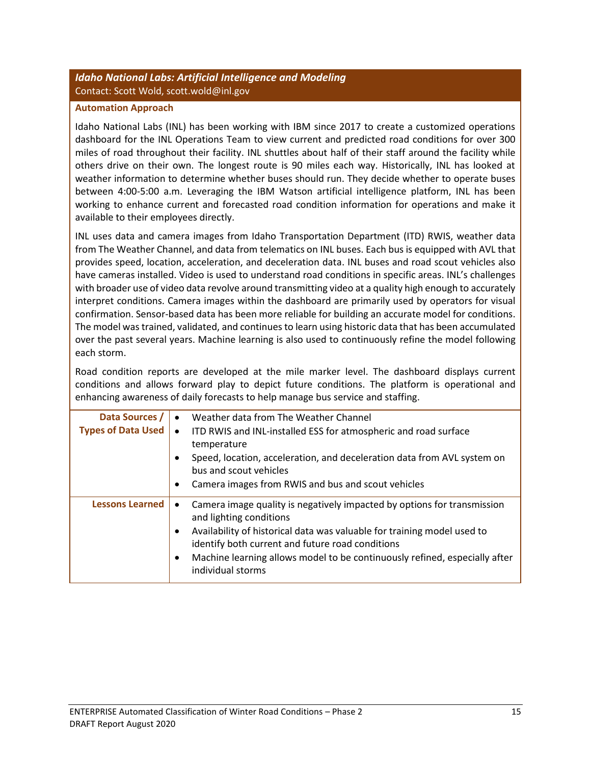### <span id="page-18-0"></span>*Idaho National Labs: Artificial Intelligence and Modeling* Contact: Scott Wold, scott.wold@inl.gov

#### **Automation Approach**

Idaho National Labs (INL) has been working with IBM since 2017 to create a customized operations dashboard for the INL Operations Team to view current and predicted road conditions for over 300 miles of road throughout their facility. INL shuttles about half of their staff around the facility while others drive on their own. The longest route is 90 miles each way. Historically, INL has looked at weather information to determine whether buses should run. They decide whether to operate buses between 4:00-5:00 a.m. Leveraging the IBM Watson artificial intelligence platform, INL has been working to enhance current and forecasted road condition information for operations and make it available to their employees directly.

INL uses data and camera images from Idaho Transportation Department (ITD) RWIS, weather data from The Weather Channel, and data from telematics on INL buses. Each bus is equipped with AVL that provides speed, location, acceleration, and deceleration data. INL buses and road scout vehicles also have cameras installed. Video is used to understand road conditions in specific areas. INL's challenges with broader use of video data revolve around transmitting video at a quality high enough to accurately interpret conditions. Camera images within the dashboard are primarily used by operators for visual confirmation. Sensor-based data has been more reliable for building an accurate model for conditions. The model was trained, validated, and continues to learn using historic data that has been accumulated over the past several years. Machine learning is also used to continuously refine the model following each storm.

Road condition reports are developed at the mile marker level. The dashboard displays current conditions and allows forward play to depict future conditions. The platform is operational and enhancing awareness of daily forecasts to help manage bus service and staffing.

| Data Sources /<br><b>Types of Data Used</b> | Weather data from The Weather Channel<br>$\bullet$<br>ITD RWIS and INL-installed ESS for atmospheric and road surface<br>$\bullet$<br>temperature<br>Speed, location, acceleration, and deceleration data from AVL system on<br>bus and scout vehicles<br>Camera images from RWIS and bus and scout vehicles<br>٠                              |
|---------------------------------------------|------------------------------------------------------------------------------------------------------------------------------------------------------------------------------------------------------------------------------------------------------------------------------------------------------------------------------------------------|
| <b>Lessons Learned</b>                      | Camera image quality is negatively impacted by options for transmission<br>and lighting conditions<br>Availability of historical data was valuable for training model used to<br>٠<br>identify both current and future road conditions<br>Machine learning allows model to be continuously refined, especially after<br>٠<br>individual storms |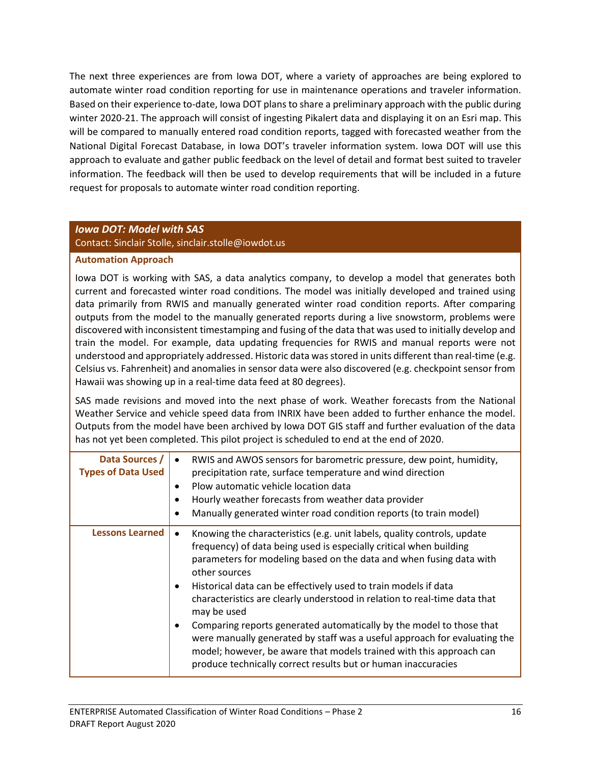The next three experiences are from Iowa DOT, where a variety of approaches are being explored to automate winter road condition reporting for use in maintenance operations and traveler information. Based on their experience to-date, Iowa DOT plans to share a preliminary approach with the public during winter 2020-21. The approach will consist of ingesting Pikalert data and displaying it on an Esri map. This will be compared to manually entered road condition reports, tagged with forecasted weather from the National Digital Forecast Database, in Iowa DOT's traveler information system. Iowa DOT will use this approach to evaluate and gather public feedback on the level of detail and format best suited to traveler information. The feedback will then be used to develop requirements that will be included in a future request for proposals to automate winter road condition reporting.

#### <span id="page-19-0"></span>*Iowa DOT: Model with SAS*

Contact: Sinclair Stolle, sinclair.stolle@iowdot.us

#### **Automation Approach**

Iowa DOT is working with SAS, a data analytics company, to develop a model that generates both current and forecasted winter road conditions. The model was initially developed and trained using data primarily from RWIS and manually generated winter road condition reports. After comparing outputs from the model to the manually generated reports during a live snowstorm, problems were discovered with inconsistent timestamping and fusing of the data that was used to initially develop and train the model. For example, data updating frequencies for RWIS and manual reports were not understood and appropriately addressed. Historic data was stored in units different than real-time (e.g. Celsius vs. Fahrenheit) and anomalies in sensor data were also discovered (e.g. checkpoint sensor from Hawaii was showing up in a real-time data feed at 80 degrees).

SAS made revisions and moved into the next phase of work. Weather forecasts from the National Weather Service and vehicle speed data from INRIX have been added to further enhance the model. Outputs from the model have been archived by Iowa DOT GIS staff and further evaluation of the data has not yet been completed. This pilot project is scheduled to end at the end of 2020.

| Data Sources /<br><b>Types of Data Used</b> | RWIS and AWOS sensors for barometric pressure, dew point, humidity,<br>precipitation rate, surface temperature and wind direction<br>Plow automatic vehicle location data<br>٠<br>Hourly weather forecasts from weather data provider<br>Manually generated winter road condition reports (to train model)<br>٠                                                                                                                                                                                                                                                                                                                                                                                                |
|---------------------------------------------|----------------------------------------------------------------------------------------------------------------------------------------------------------------------------------------------------------------------------------------------------------------------------------------------------------------------------------------------------------------------------------------------------------------------------------------------------------------------------------------------------------------------------------------------------------------------------------------------------------------------------------------------------------------------------------------------------------------|
| <b>Lessons Learned</b>                      | Knowing the characteristics (e.g. unit labels, quality controls, update<br>frequency) of data being used is especially critical when building<br>parameters for modeling based on the data and when fusing data with<br>other sources<br>Historical data can be effectively used to train models if data<br>$\bullet$<br>characteristics are clearly understood in relation to real-time data that<br>may be used<br>Comparing reports generated automatically by the model to those that<br>were manually generated by staff was a useful approach for evaluating the<br>model; however, be aware that models trained with this approach can<br>produce technically correct results but or human inaccuracies |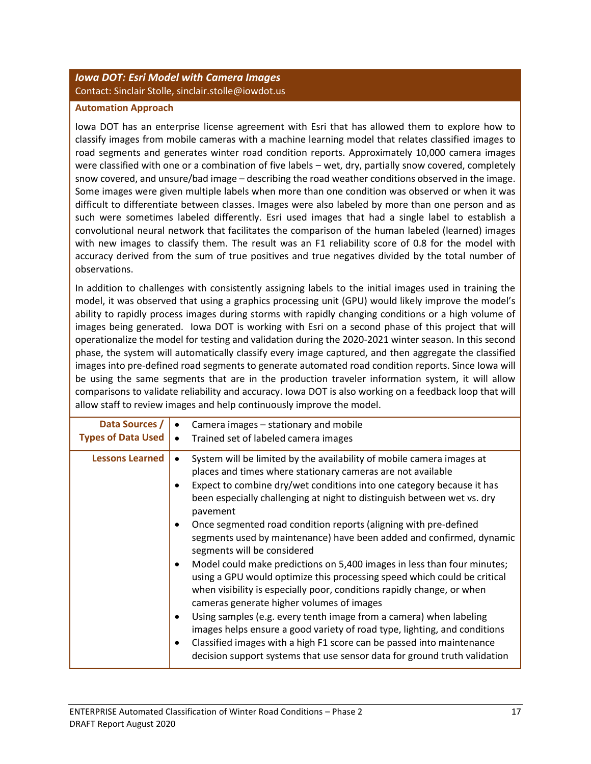### <span id="page-20-0"></span>*Iowa DOT: Esri Model with Camera Images* Contact: Sinclair Stolle, sinclair.stolle@iowdot.us

#### **Automation Approach**

Iowa DOT has an enterprise license agreement with Esri that has allowed them to explore how to classify images from mobile cameras with a machine learning model that relates classified images to road segments and generates winter road condition reports. Approximately 10,000 camera images were classified with one or a combination of five labels – wet, dry, partially snow covered, completely snow covered, and unsure/bad image – describing the road weather conditions observed in the image. Some images were given multiple labels when more than one condition was observed or when it was difficult to differentiate between classes. Images were also labeled by more than one person and as such were sometimes labeled differently. Esri used images that had a single label to establish a convolutional neural network that facilitates the comparison of the human labeled (learned) images with new images to classify them. The result was an F1 reliability score of 0.8 for the model with accuracy derived from the sum of true positives and true negatives divided by the total number of observations.

In addition to challenges with consistently assigning labels to the initial images used in training the model, it was observed that using a graphics processing unit (GPU) would likely improve the model's ability to rapidly process images during storms with rapidly changing conditions or a high volume of images being generated. Iowa DOT is working with Esri on a second phase of this project that will operationalize the model for testing and validation during the 2020-2021 winter season. In this second phase, the system will automatically classify every image captured, and then aggregate the classified images into pre-defined road segments to generate automated road condition reports. Since Iowa will be using the same segments that are in the production traveler information system, it will allow comparisons to validate reliability and accuracy. Iowa DOT is also working on a feedback loop that will allow staff to review images and help continuously improve the model.

| Data Sources /            | Camera images – stationary and mobile                                                                                                                                                                                                                                                                                                                                                                                                                                                                                                                                                                                                                                                                                                                                                                                                                                                                                                                                                                                                                                  |
|---------------------------|------------------------------------------------------------------------------------------------------------------------------------------------------------------------------------------------------------------------------------------------------------------------------------------------------------------------------------------------------------------------------------------------------------------------------------------------------------------------------------------------------------------------------------------------------------------------------------------------------------------------------------------------------------------------------------------------------------------------------------------------------------------------------------------------------------------------------------------------------------------------------------------------------------------------------------------------------------------------------------------------------------------------------------------------------------------------|
| <b>Types of Data Used</b> | Trained set of labeled camera images                                                                                                                                                                                                                                                                                                                                                                                                                                                                                                                                                                                                                                                                                                                                                                                                                                                                                                                                                                                                                                   |
| <b>Lessons Learned</b>    | System will be limited by the availability of mobile camera images at<br>places and times where stationary cameras are not available<br>Expect to combine dry/wet conditions into one category because it has<br>been especially challenging at night to distinguish between wet vs. dry<br>pavement<br>Once segmented road condition reports (aligning with pre-defined<br>segments used by maintenance) have been added and confirmed, dynamic<br>segments will be considered<br>Model could make predictions on 5,400 images in less than four minutes;<br>using a GPU would optimize this processing speed which could be critical<br>when visibility is especially poor, conditions rapidly change, or when<br>cameras generate higher volumes of images<br>Using samples (e.g. every tenth image from a camera) when labeling<br>images helps ensure a good variety of road type, lighting, and conditions<br>Classified images with a high F1 score can be passed into maintenance<br>decision support systems that use sensor data for ground truth validation |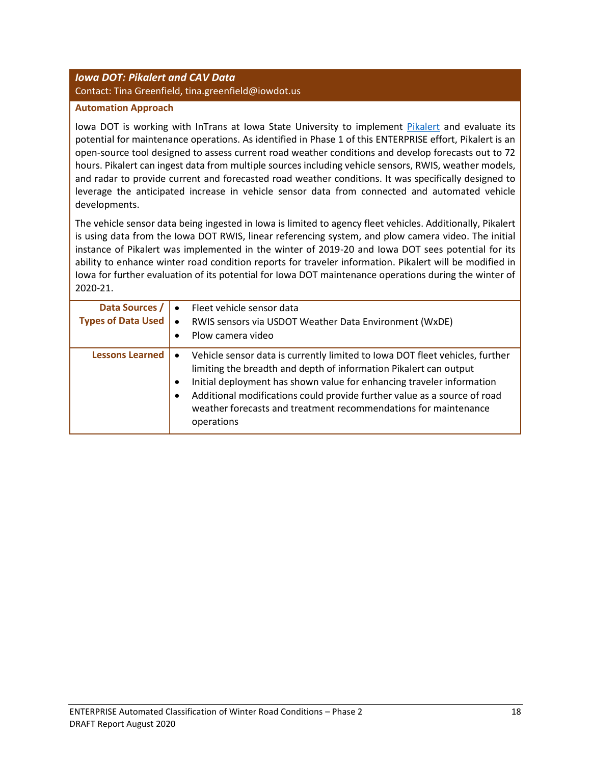### <span id="page-21-0"></span>*Iowa DOT: Pikalert and CAV Data* Contact: Tina Greenfield, tina.greenfield@iowdot.us

#### **Automation Approach**

Iowa DOT is working with InTrans at Iowa State University to implement [Pikalert](https://ral.ucar.edu/solutions/products/pikalert%C2%AE) and evaluate its potential for maintenance operations. As identified in Phase 1 of this ENTERPRISE effort, Pikalert is an open-source tool designed to assess current road weather conditions and develop forecasts out to 72 hours. Pikalert can ingest data from multiple sources including vehicle sensors, RWIS, weather models, and radar to provide current and forecasted road weather conditions. It was specifically designed to leverage the anticipated increase in vehicle sensor data from connected and automated vehicle developments.

The vehicle sensor data being ingested in Iowa is limited to agency fleet vehicles. Additionally, Pikalert is using data from the Iowa DOT RWIS, linear referencing system, and plow camera video. The initial instance of Pikalert was implemented in the winter of 2019-20 and Iowa DOT sees potential for its ability to enhance winter road condition reports for traveler information. Pikalert will be modified in Iowa for further evaluation of its potential for Iowa DOT maintenance operations during the winter of 2020-21.

| Data Sources /<br><b>Types of Data Used</b> | Fleet vehicle sensor data<br>RWIS sensors via USDOT Weather Data Environment (WxDE)<br>Plow camera video<br>٠                                                                                                                                                                                                                                                                                                          |
|---------------------------------------------|------------------------------------------------------------------------------------------------------------------------------------------------------------------------------------------------------------------------------------------------------------------------------------------------------------------------------------------------------------------------------------------------------------------------|
| <b>Lessons Learned</b>                      | Vehicle sensor data is currently limited to Iowa DOT fleet vehicles, further<br>$\bullet$<br>limiting the breadth and depth of information Pikalert can output<br>Initial deployment has shown value for enhancing traveler information<br>$\bullet$<br>Additional modifications could provide further value as a source of road<br>٠<br>weather forecasts and treatment recommendations for maintenance<br>operations |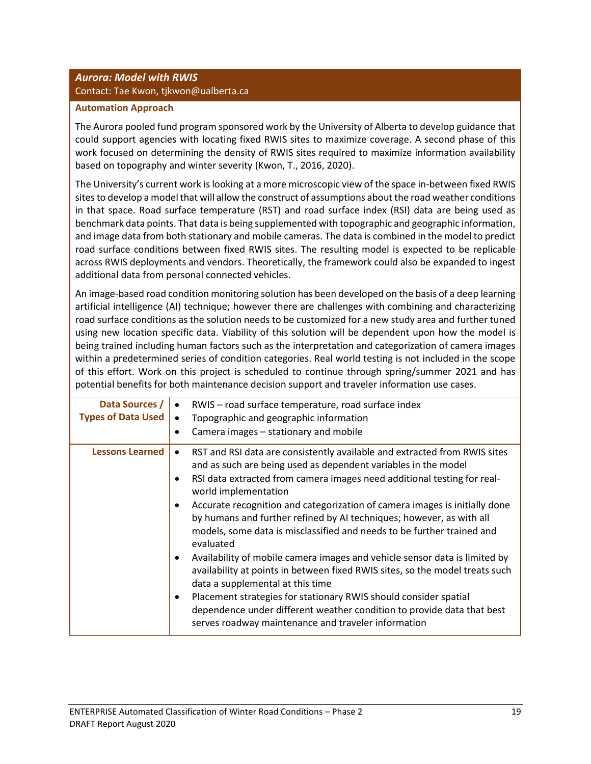## <span id="page-22-0"></span>*Aurora: Model with RWIS* Contact: Tae Kwon, tjkwon@ualberta.ca

#### **Automation Approach**

The Aurora pooled fund program sponsored work by the University of Alberta to develop guidance that could support agencies with locating fixed RWIS sites to maximize coverage. A second phase of this work focused on determining the density of RWIS sites required to maximize information availability based on topography and winter severity (Kwon, T., 2016, 2020).

The University's current work is looking at a more microscopic view of the space in-between fixed RWIS sites to develop a model that will allow the construct of assumptions about the road weather conditions in that space. Road surface temperature (RST) and road surface index (RSI) data are being used as benchmark data points. That data is being supplemented with topographic and geographic information, and image data from both stationary and mobile cameras. The data is combined in the model to predict road surface conditions between fixed RWIS sites. The resulting model is expected to be replicable across RWIS deployments and vendors. Theoretically, the framework could also be expanded to ingest additional data from personal connected vehicles.

An image-based road condition monitoring solution has been developed on the basis of a deep learning artificial intelligence (AI) technique; however there are challenges with combining and characterizing road surface conditions as the solution needs to be customized for a new study area and further tuned using new location specific data. Viability of this solution will be dependent upon how the model is being trained including human factors such as the interpretation and categorization of camera images within a predetermined series of condition categories. Real world testing is not included in the scope of this effort. Work on this project is scheduled to continue through spring/summer 2021 and has potential benefits for both maintenance decision support and traveler information use cases.

| Data Sources /<br><b>Types of Data Used</b> | RWIS - road surface temperature, road surface index<br>Topographic and geographic information<br>Camera images – stationary and mobile<br>٠                                                                                                                                                                                                                                                                                                                                                                                                                                                                                                                                                           |
|---------------------------------------------|-------------------------------------------------------------------------------------------------------------------------------------------------------------------------------------------------------------------------------------------------------------------------------------------------------------------------------------------------------------------------------------------------------------------------------------------------------------------------------------------------------------------------------------------------------------------------------------------------------------------------------------------------------------------------------------------------------|
| <b>Lessons Learned</b>                      | RST and RSI data are consistently available and extracted from RWIS sites<br>$\bullet$<br>and as such are being used as dependent variables in the model<br>RSI data extracted from camera images need additional testing for real-<br>٠<br>world implementation<br>Accurate recognition and categorization of camera images is initially done<br>$\bullet$<br>by humans and further refined by AI techniques; however, as with all<br>models, some data is misclassified and needs to be further trained and<br>evaluated<br>Availability of mobile camera images and vehicle sensor data is limited by<br>$\bullet$<br>availability at points in between fixed RWIS sites, so the model treats such |
|                                             | data a supplemental at this time<br>Placement strategies for stationary RWIS should consider spatial<br>٠<br>dependence under different weather condition to provide data that best<br>serves roadway maintenance and traveler information                                                                                                                                                                                                                                                                                                                                                                                                                                                            |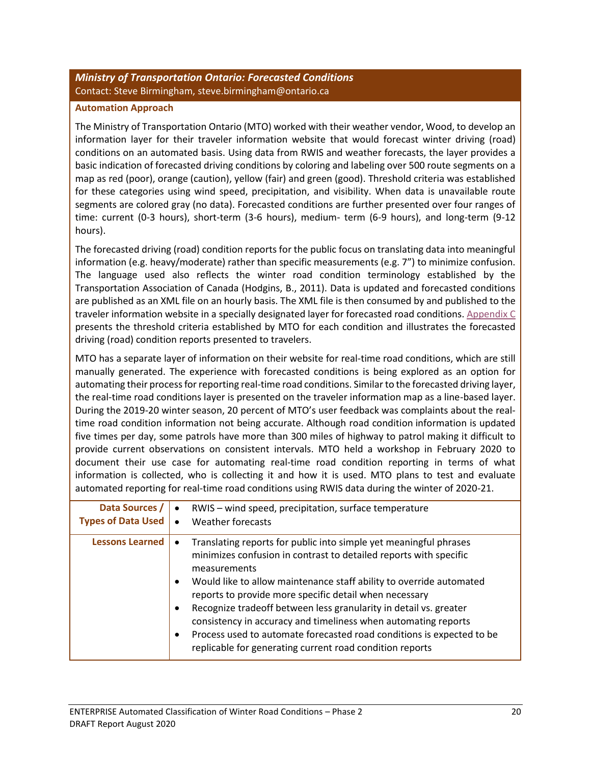### <span id="page-23-0"></span>*Ministry of Transportation Ontario: Forecasted Conditions* Contact: Steve Birmingham, steve.birmingham@ontario.ca

#### **Automation Approach**

The Ministry of Transportation Ontario (MTO) worked with their weather vendor, Wood, to develop an information layer for their traveler information website that would forecast winter driving (road) conditions on an automated basis. Using data from RWIS and weather forecasts, the layer provides a basic indication of forecasted driving conditions by coloring and labeling over 500 route segments on a map as red (poor), orange (caution), yellow (fair) and green (good). Threshold criteria was established for these categories using wind speed, precipitation, and visibility. When data is unavailable route segments are colored gray (no data). Forecasted conditions are further presented over four ranges of time: current (0-3 hours), short-term (3-6 hours), medium- term (6-9 hours), and long-term (9-12 hours).

The forecasted driving (road) condition reports for the public focus on translating data into meaningful information (e.g. heavy/moderate) rather than specific measurements (e.g. 7") to minimize confusion. The language used also reflects the winter road condition terminology established by the Transportation Association of Canada (Hodgins, B., 2011). Data is updated and forecasted conditions are published as an XML file on an hourly basis. The XML file is then consumed by and published to the traveler information website in a specially designated layer for forecasted road conditions[. Appendix C](#page-28-0) presents the threshold criteria established by MTO for each condition and illustrates the forecasted driving (road) condition reports presented to travelers.

MTO has a separate layer of information on their website for real-time road conditions, which are still manually generated. The experience with forecasted conditions is being explored as an option for automating their process for reporting real-time road conditions. Similar to the forecasted driving layer, the real-time road conditions layer is presented on the traveler information map as a line-based layer. During the 2019-20 winter season, 20 percent of MTO's user feedback was complaints about the realtime road condition information not being accurate. Although road condition information is updated five times per day, some patrols have more than 300 miles of highway to patrol making it difficult to provide current observations on consistent intervals. MTO held a workshop in February 2020 to document their use case for automating real-time road condition reporting in terms of what information is collected, who is collecting it and how it is used. MTO plans to test and evaluate automated reporting for real-time road conditions using RWIS data during the winter of 2020-21.

| Data Sources /<br><b>Types of Data Used</b> | RWIS - wind speed, precipitation, surface temperature<br>Weather forecasts                                                                                                                                                                                                                                                                                                                                                                                                                                                                                                                    |
|---------------------------------------------|-----------------------------------------------------------------------------------------------------------------------------------------------------------------------------------------------------------------------------------------------------------------------------------------------------------------------------------------------------------------------------------------------------------------------------------------------------------------------------------------------------------------------------------------------------------------------------------------------|
| <b>Lessons Learned</b>                      | Translating reports for public into simple yet meaningful phrases<br>minimizes confusion in contrast to detailed reports with specific<br>measurements<br>Would like to allow maintenance staff ability to override automated<br>reports to provide more specific detail when necessary<br>Recognize tradeoff between less granularity in detail vs. greater<br>$\bullet$<br>consistency in accuracy and timeliness when automating reports<br>Process used to automate forecasted road conditions is expected to be<br>$\bullet$<br>replicable for generating current road condition reports |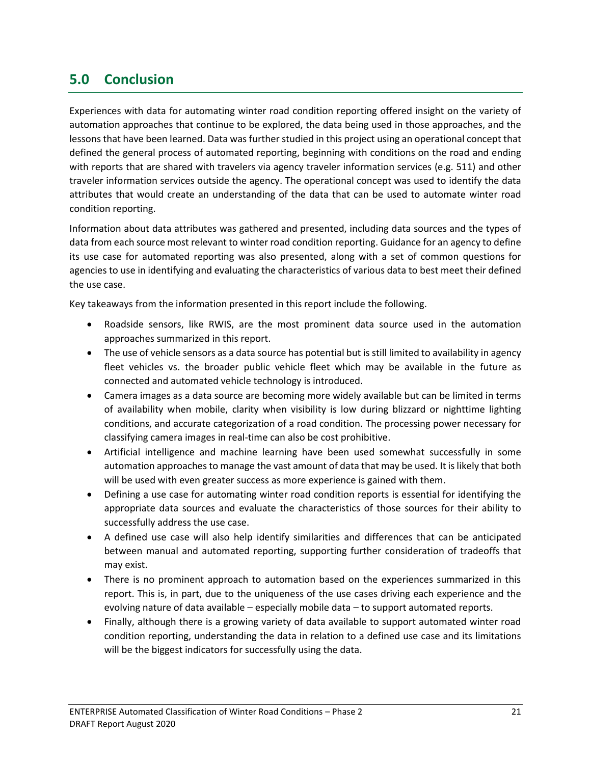## <span id="page-24-0"></span>**5.0 Conclusion**

Experiences with data for automating winter road condition reporting offered insight on the variety of automation approaches that continue to be explored, the data being used in those approaches, and the lessons that have been learned. Data was further studied in this project using an operational concept that defined the general process of automated reporting, beginning with conditions on the road and ending with reports that are shared with travelers via agency traveler information services (e.g. 511) and other traveler information services outside the agency. The operational concept was used to identify the data attributes that would create an understanding of the data that can be used to automate winter road condition reporting.

Information about data attributes was gathered and presented, including data sources and the types of data from each source most relevant to winter road condition reporting. Guidance for an agency to define its use case for automated reporting was also presented, along with a set of common questions for agencies to use in identifying and evaluating the characteristics of various data to best meet their defined the use case.

Key takeaways from the information presented in this report include the following.

- Roadside sensors, like RWIS, are the most prominent data source used in the automation approaches summarized in this report.
- The use of vehicle sensors as a data source has potential but is still limited to availability in agency fleet vehicles vs. the broader public vehicle fleet which may be available in the future as connected and automated vehicle technology is introduced.
- Camera images as a data source are becoming more widely available but can be limited in terms of availability when mobile, clarity when visibility is low during blizzard or nighttime lighting conditions, and accurate categorization of a road condition. The processing power necessary for classifying camera images in real-time can also be cost prohibitive.
- Artificial intelligence and machine learning have been used somewhat successfully in some automation approaches to manage the vast amount of data that may be used. It is likely that both will be used with even greater success as more experience is gained with them.
- Defining a use case for automating winter road condition reports is essential for identifying the appropriate data sources and evaluate the characteristics of those sources for their ability to successfully address the use case.
- A defined use case will also help identify similarities and differences that can be anticipated between manual and automated reporting, supporting further consideration of tradeoffs that may exist.
- There is no prominent approach to automation based on the experiences summarized in this report. This is, in part, due to the uniqueness of the use cases driving each experience and the evolving nature of data available – especially mobile data – to support automated reports.
- <span id="page-24-1"></span>• Finally, although there is a growing variety of data available to support automated winter road condition reporting, understanding the data in relation to a defined use case and its limitations will be the biggest indicators for successfully using the data.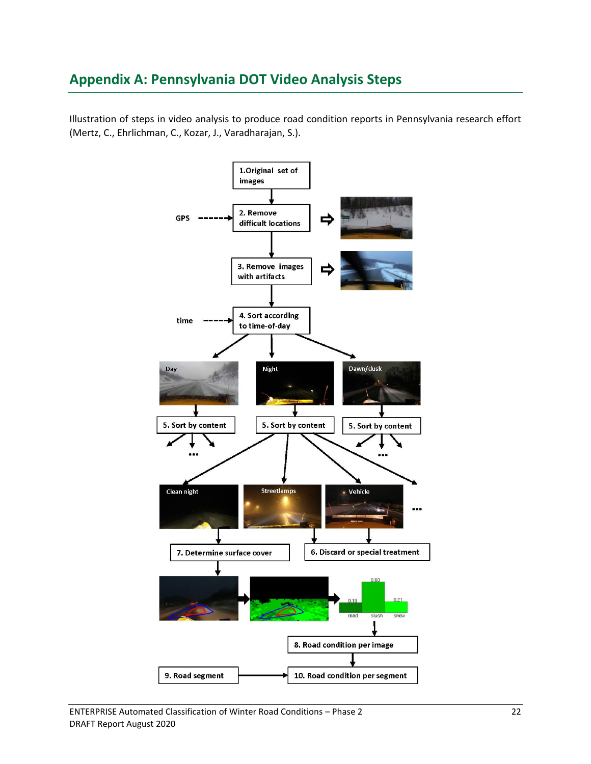## <span id="page-25-0"></span>**Appendix A: Pennsylvania DOT Video Analysis Steps**

Illustration of steps in video analysis to produce road condition reports in Pennsylvania research effort (Mertz, C., Ehrlichman, C., Kozar, J., Varadharajan, S.).

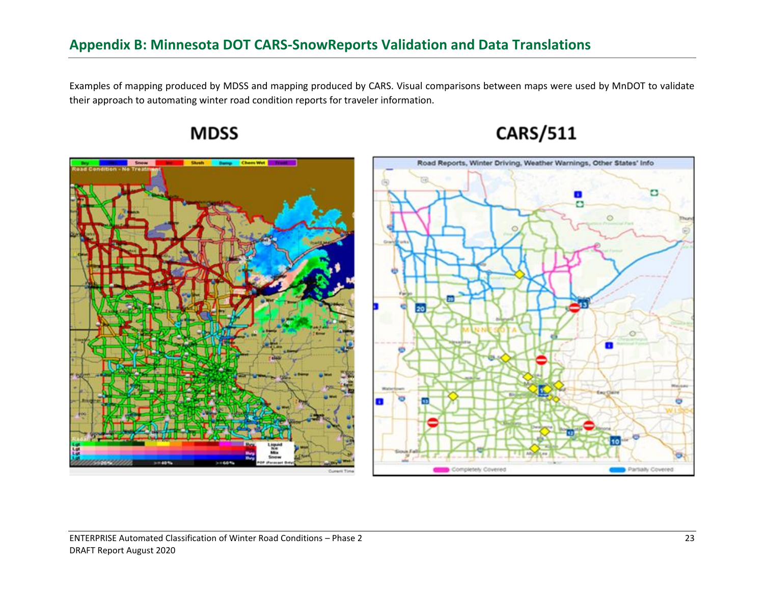## **Appendix B: Minnesota DOT CARS-SnowReports Validation and Data Translations**

Examples of mapping produced by MDSS and mapping produced by CARS. Visual comparisons between maps were used by MnDOT to validate their approach to automating winter road condition reports for traveler information.

<span id="page-26-0"></span>



# **CARS/511**

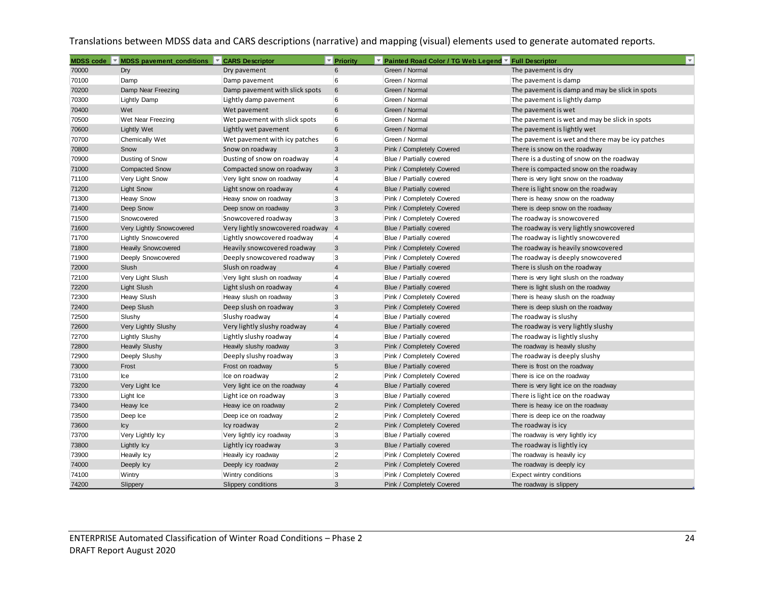Translations between MDSS data and CARS descriptions (narrative) and mapping (visual) elements used to generate automated reports.

| MDSS code | ▼ MDSS pavement_conditions | ÷.<br><b>CARS Descriptor</b>     | <b>Priority</b> | ▼ Painted Road Color / TG Web Legend ▼ Full Descriptor | $\overline{\mathbf{v}}$                          |  |
|-----------|----------------------------|----------------------------------|-----------------|--------------------------------------------------------|--------------------------------------------------|--|
| 70000     | Dry                        | Dry pavement                     | 6               | Green / Normal                                         | The pavement is dry                              |  |
| 70100     | Damp                       | Damp pavement                    | 6               | Green / Normal                                         | The pavement is damp                             |  |
| 70200     | Damp Near Freezing         | Damp pavement with slick spots   | $6\phantom{1}$  | Green / Normal                                         | The pavement is damp and may be slick in spots   |  |
| 70300     | <b>Lightly Damp</b>        | Lightly damp pavement            | 6               | Green / Normal                                         | The pavement is lightly damp                     |  |
| 70400     | Wet                        | Wet pavement                     | $6\phantom{1}$  | Green / Normal                                         | The pavement is wet                              |  |
| 70500     | Wet Near Freezing          | Wet pavement with slick spots    | 6               | Green / Normal                                         | The pavement is wet and may be slick in spots    |  |
| 70600     | <b>Lightly Wet</b>         | Lightly wet pavement             | $6\phantom{1}$  | Green / Normal                                         | The pavement is lightly wet                      |  |
| 70700     | <b>Chemically Wet</b>      | Wet pavement with icy patches    | 6               | Green / Normal                                         | The pavement is wet and there may be icy patches |  |
| 70800     | Snow                       | Snow on roadway                  | $\mathbf{3}$    | Pink / Completely Covered                              | There is snow on the roadway                     |  |
| 70900     | Dusting of Snow            | Dusting of snow on roadway       | $\overline{4}$  | Blue / Partially covered                               | There is a dusting of snow on the roadway        |  |
| 71000     | <b>Compacted Snow</b>      | Compacted snow on roadway        | $\mathbf{3}$    | Pink / Completely Covered                              | There is compacted snow on the roadway           |  |
| 71100     | Very Light Snow            | Very light snow on roadway       | $\overline{4}$  | Blue / Partially covered                               | There is very light snow on the roadway          |  |
| 71200     | <b>Light Snow</b>          | Light snow on roadway            | $\overline{4}$  | Blue / Partially covered                               | There is light snow on the roadway               |  |
| 71300     | <b>Heavy Snow</b>          | Heavy snow on roadway            | 3               | Pink / Completely Covered                              | There is heavy snow on the roadway               |  |
| 71400     | Deep Snow                  | Deep snow on roadway             | 3               | Pink / Completely Covered                              | There is deep snow on the roadway                |  |
| 71500     | Snowcovered                | Snowcovered roadway              | 3               | Pink / Completely Covered                              | The roadway is snowcovered                       |  |
| 71600     | Very Lightly Snowcovered   | Very lightly snowcovered roadway | $\overline{4}$  | Blue / Partially covered                               | The roadway is very lightly snowcovered          |  |
| 71700     | <b>Lightly Snowcovered</b> | Lightly snowcovered roadway      | $\overline{4}$  | Blue / Partially covered                               | The roadway is lightly snowcovered               |  |
| 71800     | <b>Heavily Snowcovered</b> | Heavily snowcovered roadway      | $\mathbf{3}$    | Pink / Completely Covered                              | The roadway is heavily snowcovered               |  |
| 71900     | Deeply Snowcovered         | Deeply snowcovered roadway       | 3               | Pink / Completely Covered                              | The roadway is deeply snowcovered                |  |
| 72000     | Slush                      | Slush on roadway                 | $\overline{4}$  | Blue / Partially covered                               | There is slush on the roadway                    |  |
| 72100     | Very Light Slush           | Very light slush on roadway      | $\overline{4}$  | Blue / Partially covered                               | There is very light slush on the roadway         |  |
| 72200     | Light Slush                | Light slush on roadway           | $\overline{4}$  | Blue / Partially covered                               | There is light slush on the roadway              |  |
| 72300     | <b>Heaw Slush</b>          | Heavy slush on roadway           | 3               | Pink / Completely Covered                              | There is heavy slush on the roadway              |  |
| 72400     | Deep Slush                 | Deep slush on roadway            | 3               | Pink / Completely Covered                              | There is deep slush on the roadway               |  |
| 72500     | Slushy                     | Slushy roadway                   | $\overline{4}$  | Blue / Partially covered                               | The roadway is slushy                            |  |
| 72600     | Very Lightly Slushy        | Very lightly slushy roadway      | $\overline{4}$  | Blue / Partially covered                               | The roadway is very lightly slushy               |  |
| 72700     | <b>Lightly Slushy</b>      | Lightly slushy roadway           | $\overline{4}$  | Blue / Partially covered                               | The roadway is lightly slushy                    |  |
| 72800     | <b>Heavily Slushy</b>      | Heavily slushy roadway           | 3               | Pink / Completely Covered                              | The roadway is heavily slushy                    |  |
| 72900     | Deeply Slushy              | Deeply slushy roadway            | 3               | Pink / Completely Covered                              | The roadway is deeply slushy                     |  |
| 73000     | Frost                      | Frost on roadway                 | $5\phantom{.0}$ | Blue / Partially covered                               | There is frost on the roadway                    |  |
| 73100     | Ice                        | Ice on roadway                   | $\overline{2}$  | Pink / Completely Covered                              | There is ice on the roadway                      |  |
| 73200     | Very Light Ice             | Very light ice on the roadway    | $\overline{4}$  | Blue / Partially covered                               | There is very light ice on the roadway           |  |
| 73300     | Light Ice                  | Light ice on roadway             | 3               | Blue / Partially covered                               | There is light ice on the roadway                |  |
| 73400     | Heavy Ice                  | Heavy ice on roadway             | 2               | Pink / Completely Covered                              | There is heavy ice on the roadway                |  |
| 73500     | Deep Ice                   | Deep ice on roadway              | $\overline{2}$  | Pink / Completely Covered                              | There is deep ice on the roadway                 |  |
| 73600     | <b>lcy</b>                 | Icy roadway                      | 2               | Pink / Completely Covered                              | The roadway is icy                               |  |
| 73700     | Very Lightly Icy           | Very lightly icy roadway         | 3               | Blue / Partially covered                               | The roadway is very lightly icy                  |  |
| 73800     | Lightly Icy                | Lightly icy roadway              | 3               | Blue / Partially covered                               | The roadway is lightly icy                       |  |
| 73900     | <b>Heavily Icy</b>         | Heavily icy roadway              | $\overline{2}$  | Pink / Completely Covered                              | The roadway is heavily icy                       |  |
| 74000     | Deeply Icy                 | Deeply icy roadway               | $\overline{2}$  | Pink / Completely Covered                              | The roadway is deeply icy                        |  |
| 74100     | Wintry                     | Wintry conditions                | 3               | Pink / Completely Covered                              | Expect wintry conditions                         |  |
| 74200     | Slippery                   | Slippery conditions              | 3               | Pink / Completely Covered                              | The roadway is slippery                          |  |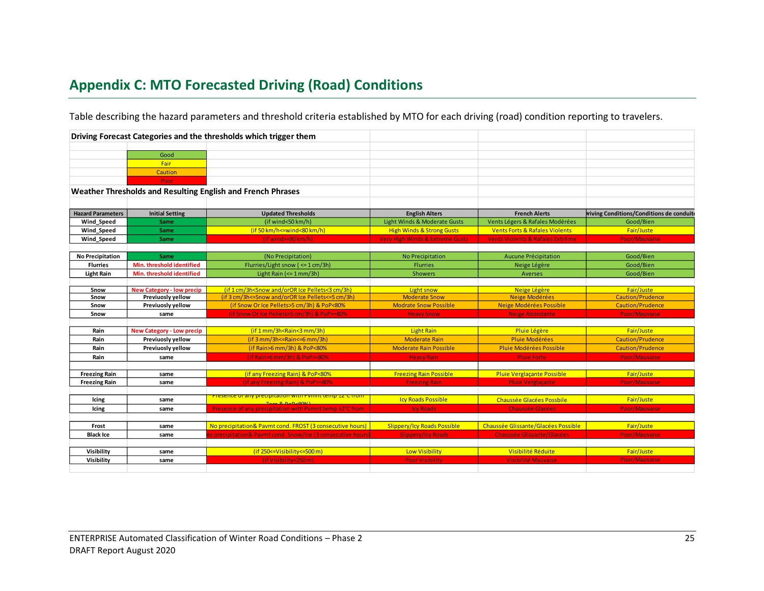# **Appendix C: MTO Forecasted Driving (Road) Conditions**

Table describing the hazard parameters and threshold criteria established by MTO for each driving (road) condition reporting to travelers.

<span id="page-28-0"></span>

|                          |                                  | Driving Forecast Categories and the thresholds which trigger them                                                                           |                                            |                                           |                                                  |
|--------------------------|----------------------------------|---------------------------------------------------------------------------------------------------------------------------------------------|--------------------------------------------|-------------------------------------------|--------------------------------------------------|
|                          |                                  |                                                                                                                                             |                                            |                                           |                                                  |
|                          | Good                             |                                                                                                                                             |                                            |                                           |                                                  |
|                          | Fair                             |                                                                                                                                             |                                            |                                           |                                                  |
|                          | Caution                          |                                                                                                                                             |                                            |                                           |                                                  |
|                          | Poor                             |                                                                                                                                             |                                            |                                           |                                                  |
|                          |                                  | Weather Thresholds and Resulting English and French Phrases                                                                                 |                                            |                                           |                                                  |
|                          |                                  |                                                                                                                                             |                                            |                                           |                                                  |
| <b>Hazard Parameters</b> | <b>Initial Setting</b>           | <b>Updated Thresholds</b>                                                                                                                   | <b>English Alters</b>                      | <b>French Alerts</b>                      | <b>Iriving Conditions/Conditions de conduite</b> |
| Wind_Speed               | <b>Same</b>                      | (if wind<50 km/h)                                                                                                                           | Light Winds & Moderate Gusts               | Vents Légers & Rafales Modérées           | Good/Bien                                        |
| Wind_Speed               | <b>Same</b>                      | $(if 50 km/h < = wind < 80 km/h)$                                                                                                           | <b>High Winds &amp; Strong Gusts</b>       | <b>Vents Forts &amp; Rafales Violents</b> | Fair/Juste                                       |
| <b>Wind Speed</b>        | Same                             | $(ifwind=80 km/h)$                                                                                                                          | <b>Very High Winds &amp; Extreme Gusts</b> | Vents Violents & Rafales Extrême          | Poor/Mauvaise                                    |
|                          |                                  |                                                                                                                                             |                                            |                                           |                                                  |
| <b>No Precipitation</b>  | Same                             | (No Precipitation)                                                                                                                          | No Precipitation                           | Aucune Précipitation                      | Good/Bien                                        |
| <b>Flurries</b>          | Min. threshold identified        | Flurries/Light snow ( <= 1 cm/3h)                                                                                                           | <b>Flurries</b>                            | Neige Légère                              | Good/Bien                                        |
| <b>Light Rain</b>        | Min. threshold identified        | Light Rain (<= 1 mm/3h)                                                                                                                     | <b>Showers</b>                             | Averses                                   | Good/Bien                                        |
|                          |                                  |                                                                                                                                             |                                            |                                           |                                                  |
| Snow                     | <b>New Category - low precip</b> | (if 1 cm/3h <snow 3h)<="" and="" cm="" ice="" oror="" pellets<3="" th=""><th>Light snow</th><th>Neige Légère</th><th>Fair/Juste</th></snow> | Light snow                                 | Neige Légère                              | Fair/Juste                                       |
| Snow                     | Previuosly yellow                | (if 3 cm/3h <= Snow and/or OR Ice Pellets <= 5 cm/3h)                                                                                       | <b>Moderate Snow</b>                       | Neige Modérées                            | <b>Caution/Prudence</b>                          |
| Snow                     | Previuosly yellow                | (if Snow Or Ice Pellets>5 cm/3h) & PoP<80%                                                                                                  | <b>Modrate Snow Possible</b>               | Neige Modérées Possible                   | <b>Caution/Prudence</b>                          |
| Snow                     | same                             | (if Snow Or Ice Pellets>5 cm/3h) & PoP>=80%                                                                                                 | <b>Heavy Snow</b>                          | <b>Neige Abondante</b>                    | Poor/Mauvaise                                    |
|                          |                                  |                                                                                                                                             |                                            |                                           |                                                  |
| Rain                     | <b>New Category - Low precip</b> | (if 1 mm/3h <rain<3 3h)<="" mm="" th=""><th><b>Light Rain</b></th><th>Pluie Légère</th><th>Fair/Juste</th></rain<3>                         | <b>Light Rain</b>                          | Pluie Légère                              | Fair/Juste                                       |
| Rain                     | Previuosly yellow                | $(if 3 mm/3h < = Rain < = 6 mm/3h)$                                                                                                         | <b>Moderate Rain</b>                       | Pluie Modérées                            | <b>Caution/Prudence</b>                          |
| Rain                     | Previuosly yellow                | (if Rain>6 mm/3h) & PoP<80%                                                                                                                 | <b>Moderate Rain Possible</b>              | Pluie Modérées Possible                   | <b>Caution/Prudence</b>                          |
| Rain                     | same                             | (if Rain>6 mm/3h) & PoP>=80%                                                                                                                | <b>Heavy Rain</b>                          | <b>Pluie Forte</b>                        | Poor/Mauvaise                                    |
|                          |                                  |                                                                                                                                             |                                            |                                           |                                                  |
| <b>Freezing Rain</b>     | same                             | (if any Freezing Rain) & PoP<80%                                                                                                            | <b>Freezing Rain Possible</b>              | Pluie Verglaçante Possible                | Fair/Juste                                       |
| <b>Freezing Rain</b>     | same                             | (if any Freezing Rain) & PoP>=80%                                                                                                           | <b>Freezing Rain</b>                       | <b>Pluie Verglaçante</b>                  | Poor/Mauvaise                                    |
|                          |                                  | Presence or any precipitation with Pymmt temp EZ C from                                                                                     |                                            |                                           |                                                  |
| Icing                    | same                             | $7000$ R. Do D $(00)/1$                                                                                                                     | <b>Icy Roads Possible</b>                  | Chaussée Glacées Possbile                 | Fair/Juste                                       |
| Icing                    | same                             | Presence of any precipitation with Pvmnt temp ±2°C from                                                                                     | <b>Icy Roads</b>                           | <b>Chaussée Glacées</b>                   | Poor/Mauvaise                                    |
|                          |                                  |                                                                                                                                             |                                            |                                           |                                                  |
| Frost                    | same                             | No precipitation& Pavmt cond. FROST (3 consecutive hours)                                                                                   | <b>Slippery/Icy Roads Possible</b>         | Chaussée Glissante/Glacées Possible       | Fair/Juste                                       |
| <b>Black Ice</b>         | same                             | o precipitation& Paymt cond. Snow/Ice (3 consecutive hours)                                                                                 | <b>Slippery/Icy Roads</b>                  | <b>Chaussée Glissante/Glacées</b>         | Poor/Mauvaise                                    |
|                          |                                  |                                                                                                                                             |                                            |                                           |                                                  |
| Visibility               | same                             | $(if 250 \le -V isibility \le -500 m)$                                                                                                      | <b>Low Visibility</b>                      | Visibilité Réduite                        | Fair/Juste                                       |
| Visibility               | same                             | (if Visibility<250 m)                                                                                                                       | <b>Poor Visibility</b>                     | Visibilité Mauvaise                       | Poor/Mauvaise                                    |
|                          |                                  |                                                                                                                                             |                                            |                                           |                                                  |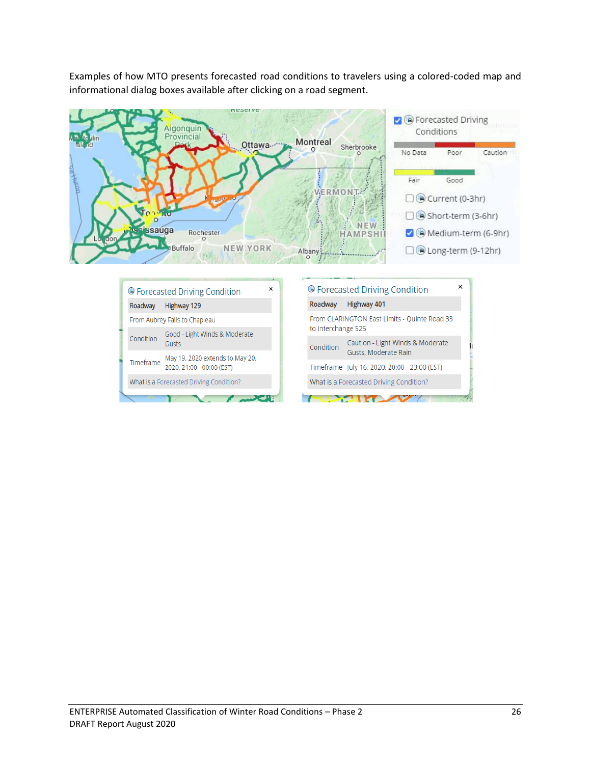Examples of how MTO presents forecasted road conditions to travelers using a colored-coded map and informational dialog boxes available after clicking on a road segment.



From CLARINGTON East Limits - Quinte Road 33

Gusts, Moderate Rain

Timeframe July 16, 2020, 20:00 - 23:00 (EST)

What is a Forecasted Driving Condition?  $\sim$ 

Caution - Light Winds & Moderate

to Interchange 525

Condition

| ENTERPRISE Automated Classification of Winter Road Conditions – Phase 2 |  |
|-------------------------------------------------------------------------|--|
| DRAFT Report August 2020                                                |  |

From Aubrey Falls to Chapleau

Gusts

Condition

Timeframe

Good - Light Winds & Moderate

May 19, 2020 extends to May 20,

2020, 21:00 - 00:00 (EST)

What is a Forecasted Driving Condition?